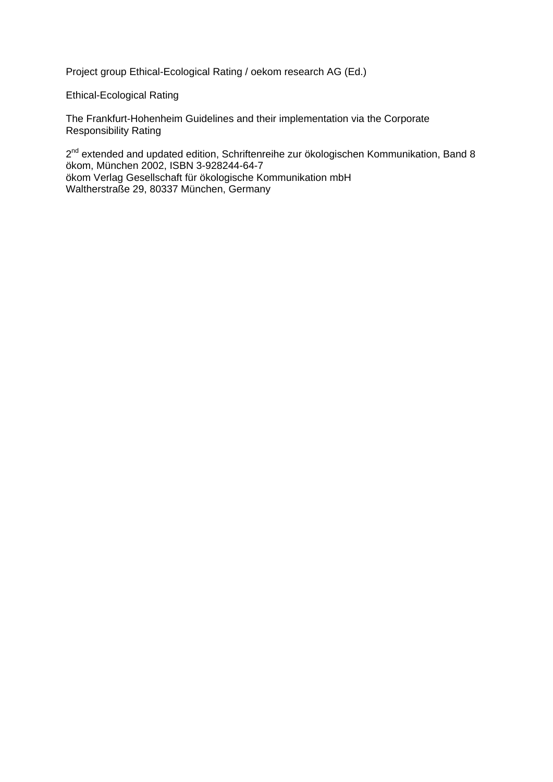Project group Ethical-Ecological Rating / oekom research AG (Ed.)

Ethical-Ecological Rating

The Frankfurt-Hohenheim Guidelines and their implementation via the Corporate Responsibility Rating

2<sup>nd</sup> extended and updated edition, Schriftenreihe zur ökologischen Kommunikation, Band 8 ökom, München 2002, ISBN 3-928244-64-7 ökom Verlag Gesellschaft für ökologische Kommunikation mbH Waltherstraße 29, 80337 München, Germany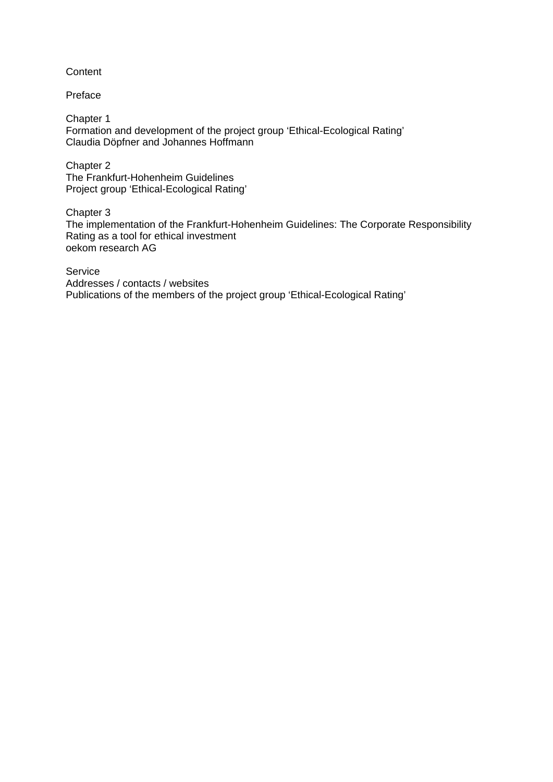## **Content**

Preface

Chapter 1 Formation and development of the project group 'Ethical-Ecological Rating' Claudia Döpfner and Johannes Hoffmann

Chapter 2 The Frankfurt-Hohenheim Guidelines Project group 'Ethical-Ecological Rating'

Chapter 3 The implementation of the Frankfurt-Hohenheim Guidelines: The Corporate Responsibility Rating as a tool for ethical investment oekom research AG

Service

Addresses / contacts / websites Publications of the members of the project group 'Ethical-Ecological Rating'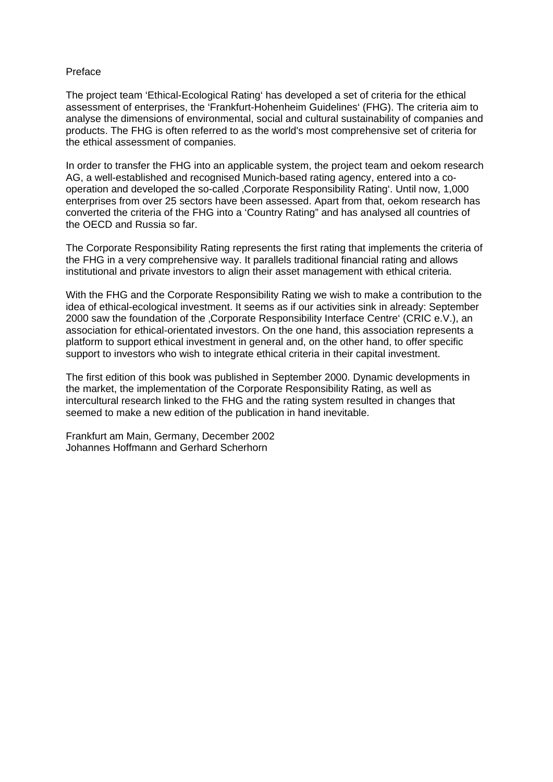### Preface

The project team 'Ethical-Ecological Rating' has developed a set of criteria for the ethical assessment of enterprises, the 'Frankfurt-Hohenheim Guidelines' (FHG). The criteria aim to analyse the dimensions of environmental, social and cultural sustainability of companies and products. The FHG is often referred to as the world's most comprehensive set of criteria for the ethical assessment of companies.

In order to transfer the FHG into an applicable system, the project team and oekom research AG, a well-established and recognised Munich-based rating agency, entered into a cooperation and developed the so-called 'Corporate Responsibility Rating'. Until now, 1,000 enterprises from over 25 sectors have been assessed. Apart from that, oekom research has converted the criteria of the FHG into a 'Country Rating" and has analysed all countries of the OECD and Russia so far.

The Corporate Responsibility Rating represents the first rating that implements the criteria of the FHG in a very comprehensive way. It parallels traditional financial rating and allows institutional and private investors to align their asset management with ethical criteria.

With the FHG and the Corporate Responsibility Rating we wish to make a contribution to the idea of ethical-ecological investment. It seems as if our activities sink in already: September 2000 saw the foundation of the 'Corporate Responsibility Interface Centre' (CRIC e.V.), an association for ethical-orientated investors. On the one hand, this association represents a platform to support ethical investment in general and, on the other hand, to offer specific support to investors who wish to integrate ethical criteria in their capital investment.

The first edition of this book was published in September 2000. Dynamic developments in the market, the implementation of the Corporate Responsibility Rating, as well as intercultural research linked to the FHG and the rating system resulted in changes that seemed to make a new edition of the publication in hand inevitable.

Frankfurt am Main, Germany, December 2002 Johannes Hoffmann and Gerhard Scherhorn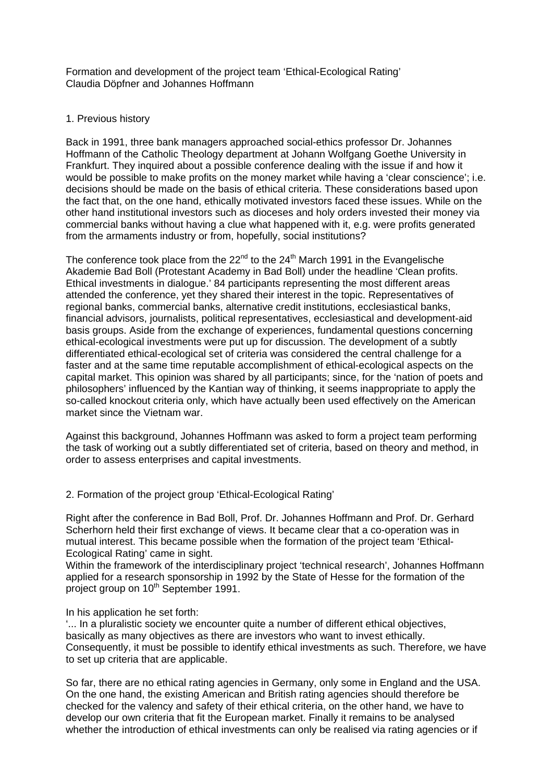Formation and development of the project team 'Ethical-Ecological Rating' Claudia Döpfner and Johannes Hoffmann

## 1. Previous history

Back in 1991, three bank managers approached social-ethics professor Dr. Johannes Hoffmann of the Catholic Theology department at Johann Wolfgang Goethe University in Frankfurt. They inquired about a possible conference dealing with the issue if and how it would be possible to make profits on the money market while having a 'clear conscience'; i.e. decisions should be made on the basis of ethical criteria. These considerations based upon the fact that, on the one hand, ethically motivated investors faced these issues. While on the other hand institutional investors such as dioceses and holy orders invested their money via commercial banks without having a clue what happened with it, e.g. were profits generated from the armaments industry or from, hopefully, social institutions?

The conference took place from the  $22^{nd}$  to the  $24^{th}$  March 1991 in the Evangelische Akademie Bad Boll (Protestant Academy in Bad Boll) under the headline 'Clean profits. Ethical investments in dialogue.' 84 participants representing the most different areas attended the conference, yet they shared their interest in the topic. Representatives of regional banks, commercial banks, alternative credit institutions, ecclesiastical banks, financial advisors, journalists, political representatives, ecclesiastical and development-aid basis groups. Aside from the exchange of experiences, fundamental questions concerning ethical-ecological investments were put up for discussion. The development of a subtly differentiated ethical-ecological set of criteria was considered the central challenge for a faster and at the same time reputable accomplishment of ethical-ecological aspects on the capital market. This opinion was shared by all participants; since, for the 'nation of poets and philosophers' influenced by the Kantian way of thinking, it seems inappropriate to apply the so-called knockout criteria only, which have actually been used effectively on the American market since the Vietnam war.

Against this background, Johannes Hoffmann was asked to form a project team performing the task of working out a subtly differentiated set of criteria, based on theory and method, in order to assess enterprises and capital investments.

## 2. Formation of the project group 'Ethical-Ecological Rating'

Right after the conference in Bad Boll, Prof. Dr. Johannes Hoffmann and Prof. Dr. Gerhard Scherhorn held their first exchange of views. It became clear that a co-operation was in mutual interest. This became possible when the formation of the project team 'Ethical-Ecological Rating' came in sight.

Within the framework of the interdisciplinary project 'technical research', Johannes Hoffmann applied for a research sponsorship in 1992 by the State of Hesse for the formation of the project group on 10<sup>th</sup> September 1991.

### In his application he set forth:

'... In a pluralistic society we encounter quite a number of different ethical objectives, basically as many objectives as there are investors who want to invest ethically. Consequently, it must be possible to identify ethical investments as such. Therefore, we have to set up criteria that are applicable.

So far, there are no ethical rating agencies in Germany, only some in England and the USA. On the one hand, the existing American and British rating agencies should therefore be checked for the valency and safety of their ethical criteria, on the other hand, we have to develop our own criteria that fit the European market. Finally it remains to be analysed whether the introduction of ethical investments can only be realised via rating agencies or if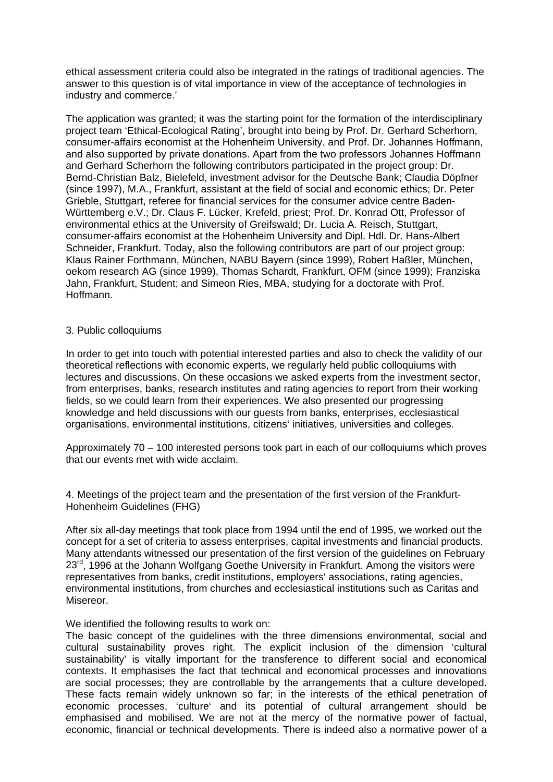ethical assessment criteria could also be integrated in the ratings of traditional agencies. The answer to this question is of vital importance in view of the acceptance of technologies in industry and commerce.'

The application was granted; it was the starting point for the formation of the interdisciplinary project team 'Ethical-Ecological Rating', brought into being by Prof. Dr. Gerhard Scherhorn, consumer-affairs economist at the Hohenheim University, and Prof. Dr. Johannes Hoffmann, and also supported by private donations. Apart from the two professors Johannes Hoffmann and Gerhard Scherhorn the following contributors participated in the project group: Dr. Bernd-Christian Balz, Bielefeld, investment advisor for the Deutsche Bank; Claudia Döpfner (since 1997), M.A., Frankfurt, assistant at the field of social and economic ethics; Dr. Peter Grieble, Stuttgart, referee for financial services for the consumer advice centre Baden-Württemberg e.V.; Dr. Claus F. Lücker, Krefeld, priest; Prof. Dr. Konrad Ott, Professor of environmental ethics at the University of Greifswald; Dr. Lucia A. Reisch, Stuttgart, consumer-affairs economist at the Hohenheim University and Dipl. Hdl. Dr. Hans-Albert Schneider, Frankfurt. Today, also the following contributors are part of our project group: Klaus Rainer Forthmann, München, NABU Bayern (since 1999), Robert Haßler, München, oekom research AG (since 1999), Thomas Schardt, Frankfurt, OFM (since 1999); Franziska Jahn, Frankfurt, Student; and Simeon Ries, MBA, studying for a doctorate with Prof. Hoffmann.

### 3. Public colloquiums

In order to get into touch with potential interested parties and also to check the validity of our theoretical reflections with economic experts, we regularly held public colloquiums with lectures and discussions. On these occasions we asked experts from the investment sector, from enterprises, banks, research institutes and rating agencies to report from their working fields, so we could learn from their experiences. We also presented our progressing knowledge and held discussions with our guests from banks, enterprises, ecclesiastical organisations, environmental institutions, citizens' initiatives, universities and colleges.

Approximately 70 – 100 interested persons took part in each of our colloquiums which proves that our events met with wide acclaim.

4. Meetings of the project team and the presentation of the first version of the Frankfurt-Hohenheim Guidelines (FHG)

After six all-day meetings that took place from 1994 until the end of 1995, we worked out the concept for a set of criteria to assess enterprises, capital investments and financial products. Many attendants witnessed our presentation of the first version of the guidelines on February  $23<sup>rd</sup>$ , 1996 at the Johann Wolfgang Goethe University in Frankfurt. Among the visitors were representatives from banks, credit institutions, employers' associations, rating agencies, environmental institutions, from churches and ecclesiastical institutions such as Caritas and Misereor.

### We identified the following results to work on:

The basic concept of the guidelines with the three dimensions environmental, social and cultural sustainability proves right. The explicit inclusion of the dimension 'cultural sustainability' is vitally important for the transference to different social and economical contexts. It emphasises the fact that technical and economical processes and innovations are social processes; they are controllable by the arrangements that a culture developed. These facts remain widely unknown so far; in the interests of the ethical penetration of economic processes, 'culture' and its potential of cultural arrangement should be emphasised and mobilised. We are not at the mercy of the normative power of factual, economic, financial or technical developments. There is indeed also a normative power of a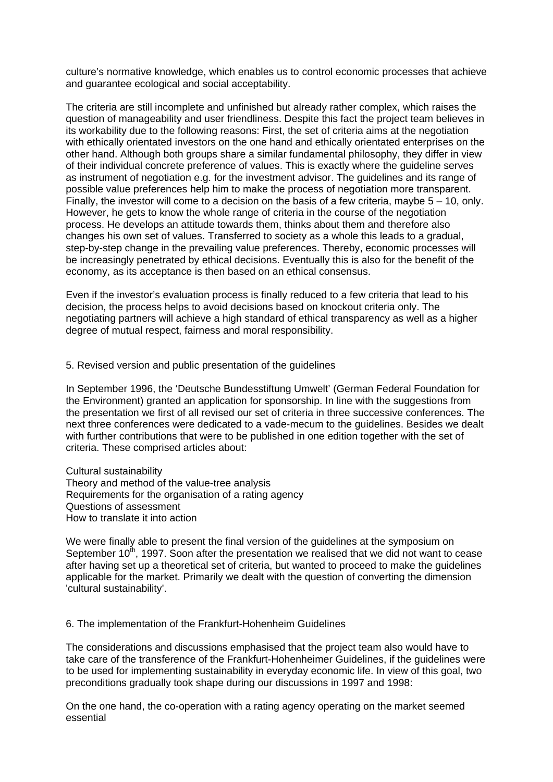culture's normative knowledge, which enables us to control economic processes that achieve and guarantee ecological and social acceptability.

The criteria are still incomplete and unfinished but already rather complex, which raises the question of manageability and user friendliness. Despite this fact the project team believes in its workability due to the following reasons: First, the set of criteria aims at the negotiation with ethically orientated investors on the one hand and ethically orientated enterprises on the other hand. Although both groups share a similar fundamental philosophy, they differ in view of their individual concrete preference of values. This is exactly where the guideline serves as instrument of negotiation e.g. for the investment advisor. The guidelines and its range of possible value preferences help him to make the process of negotiation more transparent. Finally, the investor will come to a decision on the basis of a few criteria, maybe 5 – 10, only. However, he gets to know the whole range of criteria in the course of the negotiation process. He develops an attitude towards them, thinks about them and therefore also changes his own set of values. Transferred to society as a whole this leads to a gradual, step-by-step change in the prevailing value preferences. Thereby, economic processes will be increasingly penetrated by ethical decisions. Eventually this is also for the benefit of the economy, as its acceptance is then based on an ethical consensus.

Even if the investor's evaluation process is finally reduced to a few criteria that lead to his decision, the process helps to avoid decisions based on knockout criteria only. The negotiating partners will achieve a high standard of ethical transparency as well as a higher degree of mutual respect, fairness and moral responsibility.

5. Revised version and public presentation of the guidelines

In September 1996, the 'Deutsche Bundesstiftung Umwelt' (German Federal Foundation for the Environment) granted an application for sponsorship. In line with the suggestions from the presentation we first of all revised our set of criteria in three successive conferences. The next three conferences were dedicated to a vade-mecum to the guidelines. Besides we dealt with further contributions that were to be published in one edition together with the set of criteria. These comprised articles about:

Cultural sustainability Theory and method of the value-tree analysis Requirements for the organisation of a rating agency Questions of assessment How to translate it into action

We were finally able to present the final version of the guidelines at the symposium on September  $10^{th}$ , 1997. Soon after the presentation we realised that we did not want to cease after having set up a theoretical set of criteria, but wanted to proceed to make the guidelines applicable for the market. Primarily we dealt with the question of converting the dimension 'cultural sustainability'.

6. The implementation of the Frankfurt-Hohenheim Guidelines

The considerations and discussions emphasised that the project team also would have to take care of the transference of the Frankfurt-Hohenheimer Guidelines, if the guidelines were to be used for implementing sustainability in everyday economic life. In view of this goal, two preconditions gradually took shape during our discussions in 1997 and 1998:

On the one hand, the co-operation with a rating agency operating on the market seemed essential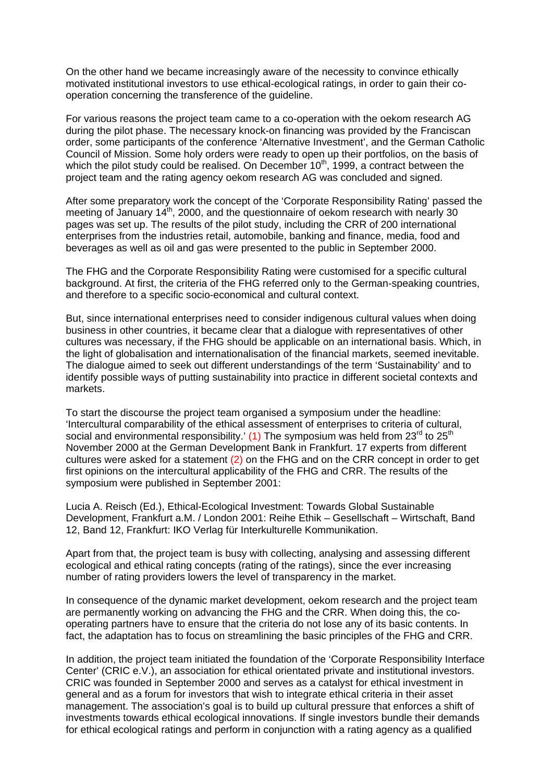On the other hand we became increasingly aware of the necessity to convince ethically motivated institutional investors to use ethical-ecological ratings, in order to gain their cooperation concerning the transference of the guideline.

For various reasons the project team came to a co-operation with the oekom research AG during the pilot phase. The necessary knock-on financing was provided by the Franciscan order, some participants of the conference 'Alternative Investment', and the German Catholic Council of Mission. Some holy orders were ready to open up their portfolios, on the basis of which the pilot study could be realised. On December  $10<sup>th</sup>$ , 1999, a contract between the project team and the rating agency oekom research AG was concluded and signed.

After some preparatory work the concept of the 'Corporate Responsibility Rating' passed the meeting of January 14<sup>th</sup>, 2000, and the questionnaire of oekom research with nearly 30 pages was set up. The results of the pilot study, including the CRR of 200 international enterprises from the industries retail, automobile, banking and finance, media, food and beverages as well as oil and gas were presented to the public in September 2000.

The FHG and the Corporate Responsibility Rating were customised for a specific cultural background. At first, the criteria of the FHG referred only to the German-speaking countries, and therefore to a specific socio-economical and cultural context.

But, since international enterprises need to consider indigenous cultural values when doing business in other countries, it became clear that a dialogue with representatives of other cultures was necessary, if the FHG should be applicable on an international basis. Which, in the light of globalisation and internationalisation of the financial markets, seemed inevitable. The dialogue aimed to seek out different understandings of the term 'Sustainability' and to identify possible ways of putting sustainability into practice in different societal contexts and markets.

To start the discourse the project team organised a symposium under the headline: 'Intercultural comparability of the ethical assessment of enterprises to criteria of cultural, social and environmental responsibility.' (1) The symposium was held from  $23<sup>rd</sup>$  to  $25<sup>th</sup>$ November 2000 at the German Development Bank in Frankfurt. 17 experts from different cultures were asked for a statement (2) on the FHG and on the CRR concept in order to get first opinions on the intercultural applicability of the FHG and CRR. The results of the symposium were published in September 2001:

Lucia A. Reisch (Ed.), Ethical-Ecological Investment: Towards Global Sustainable Development, Frankfurt a.M. / London 2001: Reihe Ethik – Gesellschaft – Wirtschaft, Band 12, Band 12, Frankfurt: IKO Verlag für Interkulturelle Kommunikation.

Apart from that, the project team is busy with collecting, analysing and assessing different ecological and ethical rating concepts (rating of the ratings), since the ever increasing number of rating providers lowers the level of transparency in the market.

In consequence of the dynamic market development, oekom research and the project team are permanently working on advancing the FHG and the CRR. When doing this, the cooperating partners have to ensure that the criteria do not lose any of its basic contents. In fact, the adaptation has to focus on streamlining the basic principles of the FHG and CRR.

In addition, the project team initiated the foundation of the 'Corporate Responsibility Interface Center' (CRIC e.V.), an association for ethical orientated private and institutional investors. CRIC was founded in September 2000 and serves as a catalyst for ethical investment in general and as a forum for investors that wish to integrate ethical criteria in their asset management. The association's goal is to build up cultural pressure that enforces a shift of investments towards ethical ecological innovations. If single investors bundle their demands for ethical ecological ratings and perform in conjunction with a rating agency as a qualified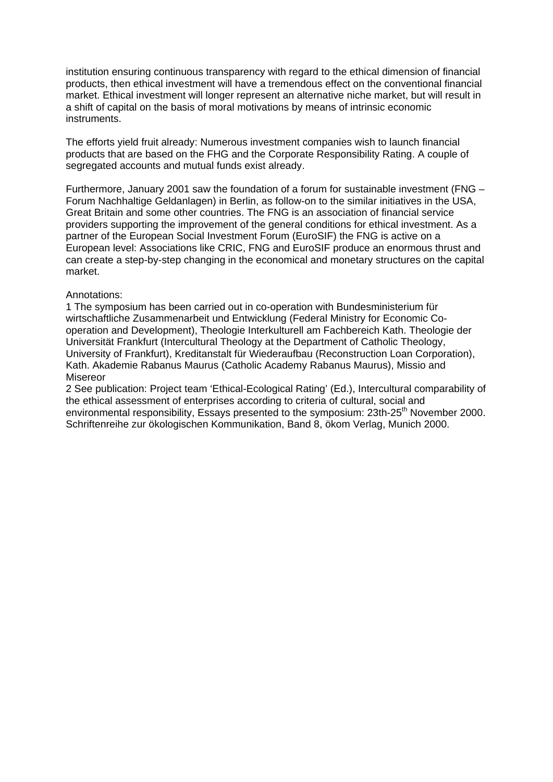institution ensuring continuous transparency with regard to the ethical dimension of financial products, then ethical investment will have a tremendous effect on the conventional financial market. Ethical investment will longer represent an alternative niche market, but will result in a shift of capital on the basis of moral motivations by means of intrinsic economic instruments.

The efforts yield fruit already: Numerous investment companies wish to launch financial products that are based on the FHG and the Corporate Responsibility Rating. A couple of segregated accounts and mutual funds exist already.

Furthermore, January 2001 saw the foundation of a forum for sustainable investment (FNG – Forum Nachhaltige Geldanlagen) in Berlin, as follow-on to the similar initiatives in the USA, Great Britain and some other countries. The FNG is an association of financial service providers supporting the improvement of the general conditions for ethical investment. As a partner of the European Social Investment Forum (EuroSIF) the FNG is active on a European level: Associations like CRIC, FNG and EuroSIF produce an enormous thrust and can create a step-by-step changing in the economical and monetary structures on the capital market.

#### Annotations:

1 The symposium has been carried out in co-operation with Bundesministerium für wirtschaftliche Zusammenarbeit und Entwicklung (Federal Ministry for Economic Cooperation and Development), Theologie Interkulturell am Fachbereich Kath. Theologie der Universität Frankfurt (Intercultural Theology at the Department of Catholic Theology, University of Frankfurt), Kreditanstalt für Wiederaufbau (Reconstruction Loan Corporation), Kath. Akademie Rabanus Maurus (Catholic Academy Rabanus Maurus), Missio and **Misereor** 

2 See publication: Project team 'Ethical-Ecological Rating' (Ed.), Intercultural comparability of the ethical assessment of enterprises according to criteria of cultural, social and environmental responsibility. Essays presented to the symposium: 23th-25<sup>th</sup> November 2000. Schriftenreihe zur ökologischen Kommunikation, Band 8, ökom Verlag, Munich 2000.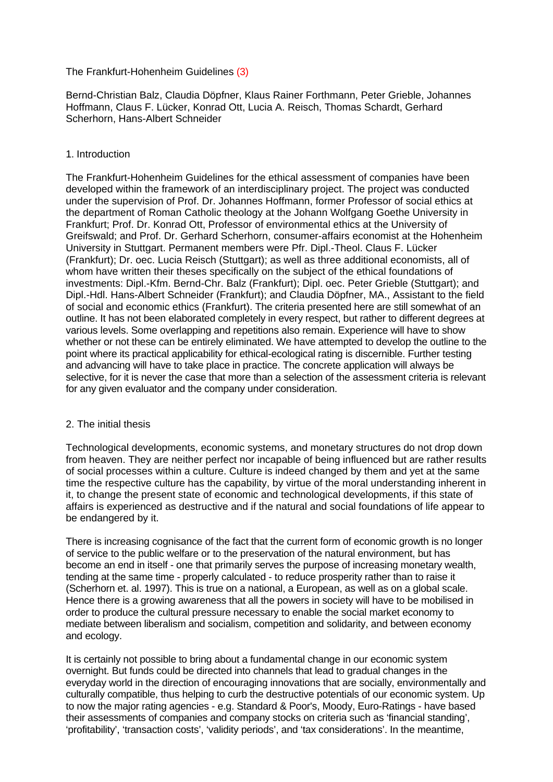## The Frankfurt-Hohenheim Guidelines (3)

Bernd-Christian Balz, Claudia Döpfner, Klaus Rainer Forthmann, Peter Grieble, Johannes Hoffmann, Claus F. Lücker, Konrad Ott, Lucia A. Reisch, Thomas Schardt, Gerhard Scherhorn, Hans-Albert Schneider

## 1. Introduction

The Frankfurt-Hohenheim Guidelines for the ethical assessment of companies have been developed within the framework of an interdisciplinary project. The project was conducted under the supervision of Prof. Dr. Johannes Hoffmann, former Professor of social ethics at the department of Roman Catholic theology at the Johann Wolfgang Goethe University in Frankfurt; Prof. Dr. Konrad Ott, Professor of environmental ethics at the University of Greifswald; and Prof. Dr. Gerhard Scherhorn, consumer-affairs economist at the Hohenheim University in Stuttgart. Permanent members were Pfr. Dipl.-Theol. Claus F. Lücker (Frankfurt); Dr. oec. Lucia Reisch (Stuttgart); as well as three additional economists, all of whom have written their theses specifically on the subject of the ethical foundations of investments: Dipl.-Kfm. Bernd-Chr. Balz (Frankfurt); Dipl. oec. Peter Grieble (Stuttgart); and Dipl.-Hdl. Hans-Albert Schneider (Frankfurt); and Claudia Döpfner, MA., Assistant to the field of social and economic ethics (Frankfurt). The criteria presented here are still somewhat of an outline. It has not been elaborated completely in every respect, but rather to different degrees at various levels. Some overlapping and repetitions also remain. Experience will have to show whether or not these can be entirely eliminated. We have attempted to develop the outline to the point where its practical applicability for ethical-ecological rating is discernible. Further testing and advancing will have to take place in practice. The concrete application will always be selective, for it is never the case that more than a selection of the assessment criteria is relevant for any given evaluator and the company under consideration.

## 2. The initial thesis

Technological developments, economic systems, and monetary structures do not drop down from heaven. They are neither perfect nor incapable of being influenced but are rather results of social processes within a culture. Culture is indeed changed by them and yet at the same time the respective culture has the capability, by virtue of the moral understanding inherent in it, to change the present state of economic and technological developments, if this state of affairs is experienced as destructive and if the natural and social foundations of life appear to be endangered by it.

There is increasing cognisance of the fact that the current form of economic growth is no longer of service to the public welfare or to the preservation of the natural environment, but has become an end in itself - one that primarily serves the purpose of increasing monetary wealth, tending at the same time - properly calculated - to reduce prosperity rather than to raise it (Scherhorn et. al. 1997). This is true on a national, a European, as well as on a global scale. Hence there is a growing awareness that all the powers in society will have to be mobilised in order to produce the cultural pressure necessary to enable the social market economy to mediate between liberalism and socialism, competition and solidarity, and between economy and ecology.

It is certainly not possible to bring about a fundamental change in our economic system overnight. But funds could be directed into channels that lead to gradual changes in the everyday world in the direction of encouraging innovations that are socially, environmentally and culturally compatible, thus helping to curb the destructive potentials of our economic system. Up to now the major rating agencies - e.g. Standard & Poor's, Moody, Euro-Ratings - have based their assessments of companies and company stocks on criteria such as 'financial standing', 'profitability', 'transaction costs', 'validity periods', and 'tax considerations'. In the meantime,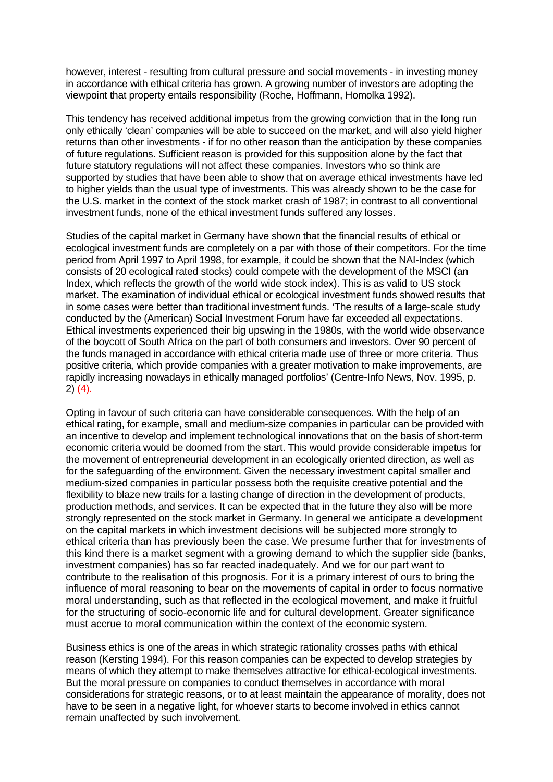however, interest - resulting from cultural pressure and social movements - in investing money in accordance with ethical criteria has grown. A growing number of investors are adopting the viewpoint that property entails responsibility (Roche, Hoffmann, Homolka 1992).

This tendency has received additional impetus from the growing conviction that in the long run only ethically 'clean' companies will be able to succeed on the market, and will also yield higher returns than other investments - if for no other reason than the anticipation by these companies of future regulations. Sufficient reason is provided for this supposition alone by the fact that future statutory regulations will not affect these companies. Investors who so think are supported by studies that have been able to show that on average ethical investments have led to higher yields than the usual type of investments. This was already shown to be the case for the U.S. market in the context of the stock market crash of 1987; in contrast to all conventional investment funds, none of the ethical investment funds suffered any losses.

Studies of the capital market in Germany have shown that the financial results of ethical or ecological investment funds are completely on a par with those of their competitors. For the time period from April 1997 to April 1998, for example, it could be shown that the NAI-Index (which consists of 20 ecological rated stocks) could compete with the development of the MSCI (an Index, which reflects the growth of the world wide stock index). This is as valid to US stock market. The examination of individual ethical or ecological investment funds showed results that in some cases were better than traditional investment funds. 'The results of a large-scale study conducted by the (American) Social Investment Forum have far exceeded all expectations. Ethical investments experienced their big upswing in the 1980s, with the world wide observance of the boycott of South Africa on the part of both consumers and investors. Over 90 percent of the funds managed in accordance with ethical criteria made use of three or more criteria. Thus positive criteria, which provide companies with a greater motivation to make improvements, are rapidly increasing nowadays in ethically managed portfolios' (Centre-Info News, Nov. 1995, p. 2) (4).

Opting in favour of such criteria can have considerable consequences. With the help of an ethical rating, for example, small and medium-size companies in particular can be provided with an incentive to develop and implement technological innovations that on the basis of short-term economic criteria would be doomed from the start. This would provide considerable impetus for the movement of entrepreneurial development in an ecologically oriented direction, as well as for the safeguarding of the environment. Given the necessary investment capital smaller and medium-sized companies in particular possess both the requisite creative potential and the flexibility to blaze new trails for a lasting change of direction in the development of products, production methods, and services. It can be expected that in the future they also will be more strongly represented on the stock market in Germany. In general we anticipate a development on the capital markets in which investment decisions will be subjected more strongly to ethical criteria than has previously been the case. We presume further that for investments of this kind there is a market segment with a growing demand to which the supplier side (banks, investment companies) has so far reacted inadequately. And we for our part want to contribute to the realisation of this prognosis. For it is a primary interest of ours to bring the influence of moral reasoning to bear on the movements of capital in order to focus normative moral understanding, such as that reflected in the ecological movement, and make it fruitful for the structuring of socio-economic life and for cultural development. Greater significance must accrue to moral communication within the context of the economic system.

Business ethics is one of the areas in which strategic rationality crosses paths with ethical reason (Kersting 1994). For this reason companies can be expected to develop strategies by means of which they attempt to make themselves attractive for ethical-ecological investments. But the moral pressure on companies to conduct themselves in accordance with moral considerations for strategic reasons, or to at least maintain the appearance of morality, does not have to be seen in a negative light, for whoever starts to become involved in ethics cannot remain unaffected by such involvement.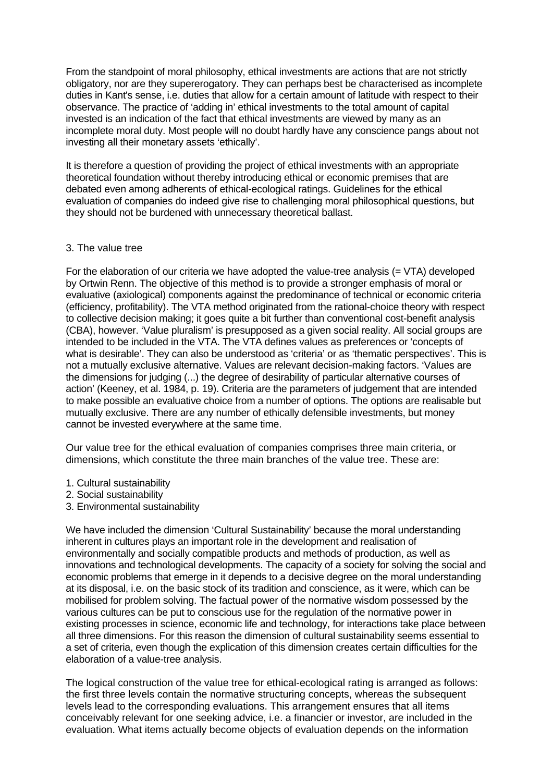From the standpoint of moral philosophy, ethical investments are actions that are not strictly obligatory, nor are they supererogatory. They can perhaps best be characterised as incomplete duties in Kant's sense, i.e. duties that allow for a certain amount of latitude with respect to their observance. The practice of 'adding in' ethical investments to the total amount of capital invested is an indication of the fact that ethical investments are viewed by many as an incomplete moral duty. Most people will no doubt hardly have any conscience pangs about not investing all their monetary assets 'ethically'.

It is therefore a question of providing the project of ethical investments with an appropriate theoretical foundation without thereby introducing ethical or economic premises that are debated even among adherents of ethical-ecological ratings. Guidelines for the ethical evaluation of companies do indeed give rise to challenging moral philosophical questions, but they should not be burdened with unnecessary theoretical ballast.

### 3. The value tree

For the elaboration of our criteria we have adopted the value-tree analysis  $(= VTA)$  developed by Ortwin Renn. The objective of this method is to provide a stronger emphasis of moral or evaluative (axiological) components against the predominance of technical or economic criteria (efficiency, profitability). The VTA method originated from the rational-choice theory with respect to collective decision making; it goes quite a bit further than conventional cost-benefit analysis (CBA), however. 'Value pluralism' is presupposed as a given social reality. All social groups are intended to be included in the VTA. The VTA defines values as preferences or 'concepts of what is desirable'. They can also be understood as 'criteria' or as 'thematic perspectives'. This is not a mutually exclusive alternative. Values are relevant decision-making factors. 'Values are the dimensions for judging (...) the degree of desirability of particular alternative courses of action' (Keeney, et al. 1984, p. 19). Criteria are the parameters of judgement that are intended to make possible an evaluative choice from a number of options. The options are realisable but mutually exclusive. There are any number of ethically defensible investments, but money cannot be invested everywhere at the same time.

Our value tree for the ethical evaluation of companies comprises three main criteria, or dimensions, which constitute the three main branches of the value tree. These are:

- 1. Cultural sustainability
- 2. Social sustainability
- 3. Environmental sustainability

We have included the dimension 'Cultural Sustainability' because the moral understanding inherent in cultures plays an important role in the development and realisation of environmentally and socially compatible products and methods of production, as well as innovations and technological developments. The capacity of a society for solving the social and economic problems that emerge in it depends to a decisive degree on the moral understanding at its disposal, i.e. on the basic stock of its tradition and conscience, as it were, which can be mobilised for problem solving. The factual power of the normative wisdom possessed by the various cultures can be put to conscious use for the regulation of the normative power in existing processes in science, economic life and technology, for interactions take place between all three dimensions. For this reason the dimension of cultural sustainability seems essential to a set of criteria, even though the explication of this dimension creates certain difficulties for the elaboration of a value-tree analysis.

The logical construction of the value tree for ethical-ecological rating is arranged as follows: the first three levels contain the normative structuring concepts, whereas the subsequent levels lead to the corresponding evaluations. This arrangement ensures that all items conceivably relevant for one seeking advice, i.e. a financier or investor, are included in the evaluation. What items actually become objects of evaluation depends on the information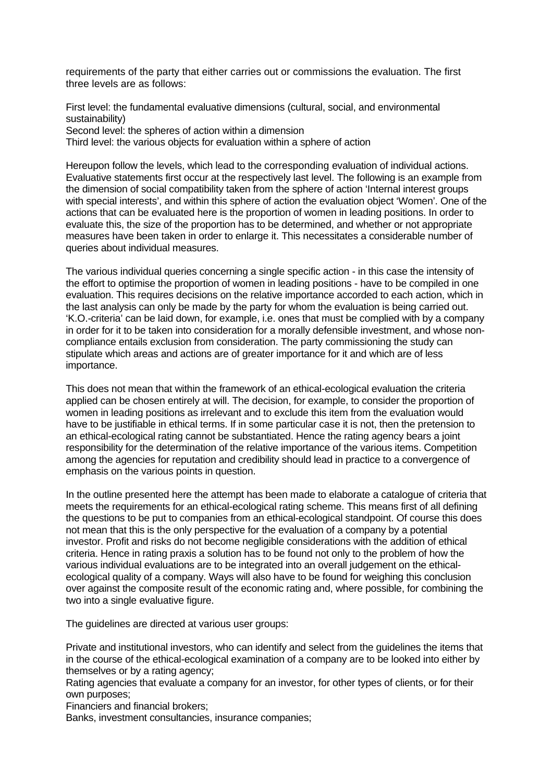requirements of the party that either carries out or commissions the evaluation. The first three levels are as follows:

First level: the fundamental evaluative dimensions (cultural, social, and environmental sustainability) Second level: the spheres of action within a dimension Third level: the various objects for evaluation within a sphere of action

Hereupon follow the levels, which lead to the corresponding evaluation of individual actions. Evaluative statements first occur at the respectively last level. The following is an example from the dimension of social compatibility taken from the sphere of action 'Internal interest groups with special interests', and within this sphere of action the evaluation object 'Women'. One of the actions that can be evaluated here is the proportion of women in leading positions. In order to evaluate this, the size of the proportion has to be determined, and whether or not appropriate measures have been taken in order to enlarge it. This necessitates a considerable number of queries about individual measures.

The various individual queries concerning a single specific action - in this case the intensity of the effort to optimise the proportion of women in leading positions - have to be compiled in one evaluation. This requires decisions on the relative importance accorded to each action, which in the last analysis can only be made by the party for whom the evaluation is being carried out. 'K.O.-criteria' can be laid down, for example, i.e. ones that must be complied with by a company in order for it to be taken into consideration for a morally defensible investment, and whose noncompliance entails exclusion from consideration. The party commissioning the study can stipulate which areas and actions are of greater importance for it and which are of less importance.

This does not mean that within the framework of an ethical-ecological evaluation the criteria applied can be chosen entirely at will. The decision, for example, to consider the proportion of women in leading positions as irrelevant and to exclude this item from the evaluation would have to be justifiable in ethical terms. If in some particular case it is not, then the pretension to an ethical-ecological rating cannot be substantiated. Hence the rating agency bears a joint responsibility for the determination of the relative importance of the various items. Competition among the agencies for reputation and credibility should lead in practice to a convergence of emphasis on the various points in question.

In the outline presented here the attempt has been made to elaborate a catalogue of criteria that meets the requirements for an ethical-ecological rating scheme. This means first of all defining the questions to be put to companies from an ethical-ecological standpoint. Of course this does not mean that this is the only perspective for the evaluation of a company by a potential investor. Profit and risks do not become negligible considerations with the addition of ethical criteria. Hence in rating praxis a solution has to be found not only to the problem of how the various individual evaluations are to be integrated into an overall judgement on the ethicalecological quality of a company. Ways will also have to be found for weighing this conclusion over against the composite result of the economic rating and, where possible, for combining the two into a single evaluative figure.

The guidelines are directed at various user groups:

Private and institutional investors, who can identify and select from the guidelines the items that in the course of the ethical-ecological examination of a company are to be looked into either by themselves or by a rating agency;

Rating agencies that evaluate a company for an investor, for other types of clients, or for their own purposes;

Financiers and financial brokers;

Banks, investment consultancies, insurance companies;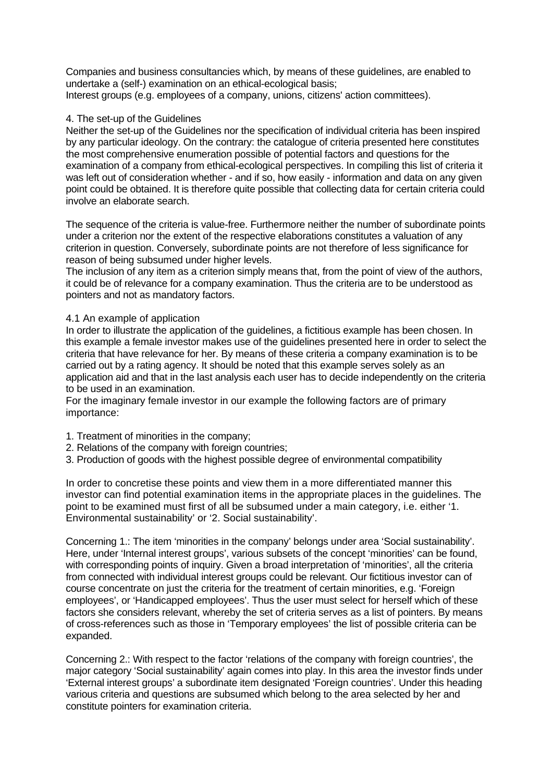Companies and business consultancies which, by means of these guidelines, are enabled to undertake a (self-) examination on an ethical-ecological basis; Interest groups (e.g. employees of a company, unions, citizens' action committees).

### 4. The set-up of the Guidelines

Neither the set-up of the Guidelines nor the specification of individual criteria has been inspired by any particular ideology. On the contrary: the catalogue of criteria presented here constitutes the most comprehensive enumeration possible of potential factors and questions for the examination of a company from ethical-ecological perspectives. In compiling this list of criteria it was left out of consideration whether - and if so, how easily - information and data on any given point could be obtained. It is therefore quite possible that collecting data for certain criteria could involve an elaborate search.

The sequence of the criteria is value-free. Furthermore neither the number of subordinate points under a criterion nor the extent of the respective elaborations constitutes a valuation of any criterion in question. Conversely, subordinate points are not therefore of less significance for reason of being subsumed under higher levels.

The inclusion of any item as a criterion simply means that, from the point of view of the authors, it could be of relevance for a company examination. Thus the criteria are to be understood as pointers and not as mandatory factors.

### 4.1 An example of application

In order to illustrate the application of the guidelines, a fictitious example has been chosen. In this example a female investor makes use of the guidelines presented here in order to select the criteria that have relevance for her. By means of these criteria a company examination is to be carried out by a rating agency. It should be noted that this example serves solely as an application aid and that in the last analysis each user has to decide independently on the criteria to be used in an examination.

For the imaginary female investor in our example the following factors are of primary importance:

- 1. Treatment of minorities in the company;
- 2. Relations of the company with foreign countries;
- 3. Production of goods with the highest possible degree of environmental compatibility

In order to concretise these points and view them in a more differentiated manner this investor can find potential examination items in the appropriate places in the guidelines. The point to be examined must first of all be subsumed under a main category, i.e. either '1. Environmental sustainability' or '2. Social sustainability'.

Concerning 1.: The item 'minorities in the company' belongs under area 'Social sustainability'. Here, under 'Internal interest groups', various subsets of the concept 'minorities' can be found, with corresponding points of inquiry. Given a broad interpretation of 'minorities', all the criteria from connected with individual interest groups could be relevant. Our fictitious investor can of course concentrate on just the criteria for the treatment of certain minorities, e.g. 'Foreign employees', or 'Handicapped employees'. Thus the user must select for herself which of these factors she considers relevant, whereby the set of criteria serves as a list of pointers. By means of cross-references such as those in 'Temporary employees' the list of possible criteria can be expanded.

Concerning 2.: With respect to the factor 'relations of the company with foreign countries', the major category 'Social sustainability' again comes into play. In this area the investor finds under 'External interest groups' a subordinate item designated 'Foreign countries'. Under this heading various criteria and questions are subsumed which belong to the area selected by her and constitute pointers for examination criteria.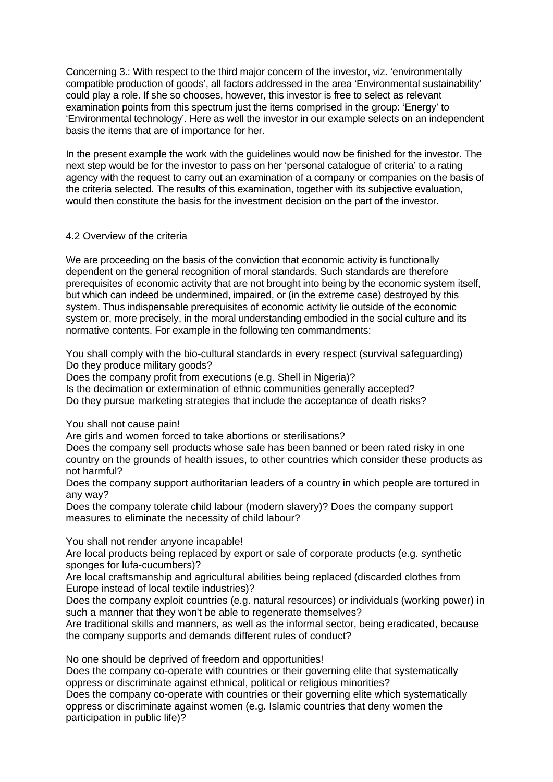Concerning 3.: With respect to the third major concern of the investor, viz. 'environmentally compatible production of goods', all factors addressed in the area 'Environmental sustainability' could play a role. If she so chooses, however, this investor is free to select as relevant examination points from this spectrum just the items comprised in the group: 'Energy' to 'Environmental technology'. Here as well the investor in our example selects on an independent basis the items that are of importance for her.

In the present example the work with the guidelines would now be finished for the investor. The next step would be for the investor to pass on her 'personal catalogue of criteria' to a rating agency with the request to carry out an examination of a company or companies on the basis of the criteria selected. The results of this examination, together with its subjective evaluation, would then constitute the basis for the investment decision on the part of the investor.

### 4.2 Overview of the criteria

We are proceeding on the basis of the conviction that economic activity is functionally dependent on the general recognition of moral standards. Such standards are therefore prerequisites of economic activity that are not brought into being by the economic system itself, but which can indeed be undermined, impaired, or (in the extreme case) destroyed by this system. Thus indispensable prerequisites of economic activity lie outside of the economic system or, more precisely, in the moral understanding embodied in the social culture and its normative contents. For example in the following ten commandments:

You shall comply with the bio-cultural standards in every respect (survival safeguarding) Do they produce military goods?

Does the company profit from executions (e.g. Shell in Nigeria)?

Is the decimation or extermination of ethnic communities generally accepted?

Do they pursue marketing strategies that include the acceptance of death risks?

## You shall not cause pain!

Are girls and women forced to take abortions or sterilisations?

Does the company sell products whose sale has been banned or been rated risky in one country on the grounds of health issues, to other countries which consider these products as not harmful?

Does the company support authoritarian leaders of a country in which people are tortured in any way?

Does the company tolerate child labour (modern slavery)? Does the company support measures to eliminate the necessity of child labour?

You shall not render anyone incapable!

Are local products being replaced by export or sale of corporate products (e.g. synthetic sponges for lufa-cucumbers)?

Are local craftsmanship and agricultural abilities being replaced (discarded clothes from Europe instead of local textile industries)?

Does the company exploit countries (e.g. natural resources) or individuals (working power) in such a manner that they won't be able to regenerate themselves?

Are traditional skills and manners, as well as the informal sector, being eradicated, because the company supports and demands different rules of conduct?

No one should be deprived of freedom and opportunities!

Does the company co-operate with countries or their governing elite that systematically oppress or discriminate against ethnical, political or religious minorities?

Does the company co-operate with countries or their governing elite which systematically oppress or discriminate against women (e.g. Islamic countries that deny women the participation in public life)?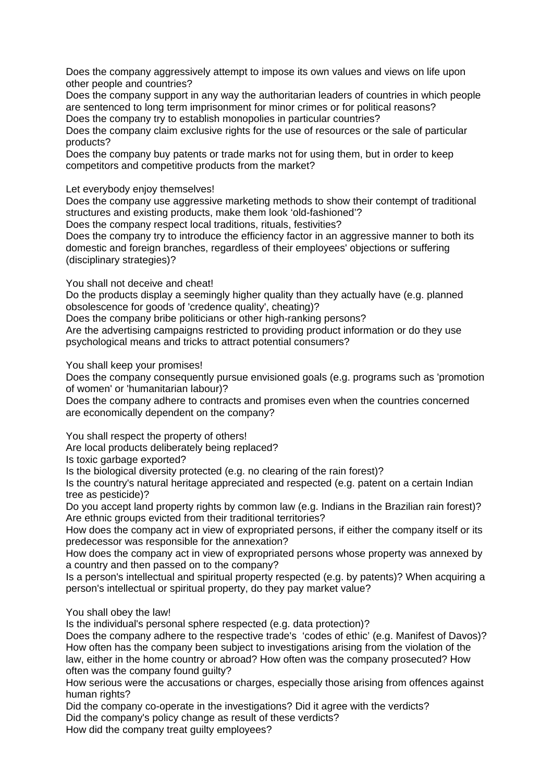Does the company aggressively attempt to impose its own values and views on life upon other people and countries?

Does the company support in any way the authoritarian leaders of countries in which people are sentenced to long term imprisonment for minor crimes or for political reasons? Does the company try to establish monopolies in particular countries?

Does the company claim exclusive rights for the use of resources or the sale of particular products?

Does the company buy patents or trade marks not for using them, but in order to keep competitors and competitive products from the market?

Let everybody enjoy themselves!

Does the company use aggressive marketing methods to show their contempt of traditional structures and existing products, make them look 'old-fashioned'?

Does the company respect local traditions, rituals, festivities?

Does the company try to introduce the efficiency factor in an aggressive manner to both its domestic and foreign branches, regardless of their employees' objections or suffering (disciplinary strategies)?

You shall not deceive and cheat!

Do the products display a seemingly higher quality than they actually have (e.g. planned obsolescence for goods of 'credence quality', cheating)?

Does the company bribe politicians or other high-ranking persons?

Are the advertising campaigns restricted to providing product information or do they use psychological means and tricks to attract potential consumers?

You shall keep your promises!

Does the company consequently pursue envisioned goals (e.g. programs such as 'promotion of women' or 'humanitarian labour)?

Does the company adhere to contracts and promises even when the countries concerned are economically dependent on the company?

You shall respect the property of others!

Are local products deliberately being replaced?

Is toxic garbage exported?

Is the biological diversity protected (e.g. no clearing of the rain forest)?

Is the country's natural heritage appreciated and respected (e.g. patent on a certain Indian tree as pesticide)?

Do you accept land property rights by common law (e.g. Indians in the Brazilian rain forest)? Are ethnic groups evicted from their traditional territories?

How does the company act in view of expropriated persons, if either the company itself or its predecessor was responsible for the annexation?

How does the company act in view of expropriated persons whose property was annexed by a country and then passed on to the company?

Is a person's intellectual and spiritual property respected (e.g. by patents)? When acquiring a person's intellectual or spiritual property, do they pay market value?

You shall obey the law!

Is the individual's personal sphere respected (e.g. data protection)?

Does the company adhere to the respective trade's 'codes of ethic' (e.g. Manifest of Davos)? How often has the company been subject to investigations arising from the violation of the law, either in the home country or abroad? How often was the company prosecuted? How often was the company found guilty?

How serious were the accusations or charges, especially those arising from offences against human rights?

Did the company co-operate in the investigations? Did it agree with the verdicts? Did the company's policy change as result of these verdicts?

How did the company treat guilty employees?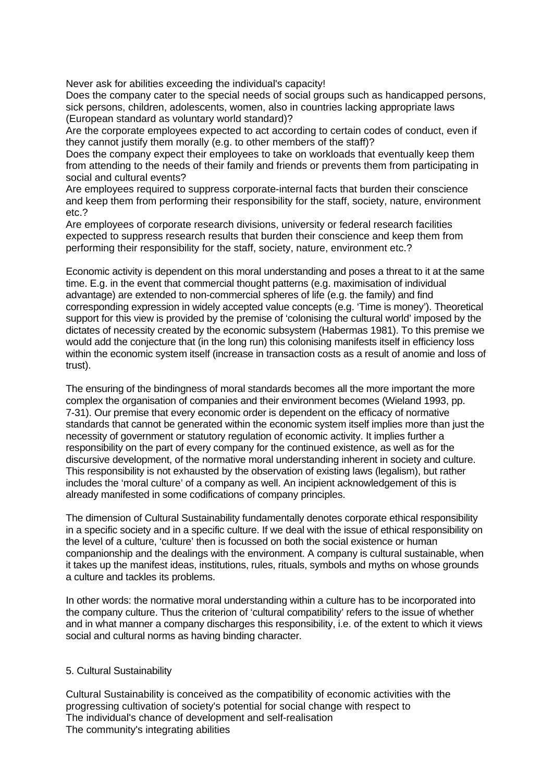Never ask for abilities exceeding the individual's capacity!

Does the company cater to the special needs of social groups such as handicapped persons, sick persons, children, adolescents, women, also in countries lacking appropriate laws (European standard as voluntary world standard)?

Are the corporate employees expected to act according to certain codes of conduct, even if they cannot justify them morally (e.g. to other members of the staff)?

Does the company expect their employees to take on workloads that eventually keep them from attending to the needs of their family and friends or prevents them from participating in social and cultural events?

Are employees required to suppress corporate-internal facts that burden their conscience and keep them from performing their responsibility for the staff, society, nature, environment etc.?

Are employees of corporate research divisions, university or federal research facilities expected to suppress research results that burden their conscience and keep them from performing their responsibility for the staff, society, nature, environment etc.?

Economic activity is dependent on this moral understanding and poses a threat to it at the same time. E.g. in the event that commercial thought patterns (e.g. maximisation of individual advantage) are extended to non-commercial spheres of life (e.g. the family) and find corresponding expression in widely accepted value concepts (e.g. 'Time is money'). Theoretical support for this view is provided by the premise of 'colonising the cultural world' imposed by the dictates of necessity created by the economic subsystem (Habermas 1981). To this premise we would add the conjecture that (in the long run) this colonising manifests itself in efficiency loss within the economic system itself (increase in transaction costs as a result of anomie and loss of trust).

The ensuring of the bindingness of moral standards becomes all the more important the more complex the organisation of companies and their environment becomes (Wieland 1993, pp. 7-31). Our premise that every economic order is dependent on the efficacy of normative standards that cannot be generated within the economic system itself implies more than just the necessity of government or statutory regulation of economic activity. It implies further a responsibility on the part of every company for the continued existence, as well as for the discursive development, of the normative moral understanding inherent in society and culture. This responsibility is not exhausted by the observation of existing laws (legalism), but rather includes the 'moral culture' of a company as well. An incipient acknowledgement of this is already manifested in some codifications of company principles.

The dimension of Cultural Sustainability fundamentally denotes corporate ethical responsibility in a specific society and in a specific culture. If we deal with the issue of ethical responsibility on the level of a culture, 'culture' then is focussed on both the social existence or human companionship and the dealings with the environment. A company is cultural sustainable, when it takes up the manifest ideas, institutions, rules, rituals, symbols and myths on whose grounds a culture and tackles its problems.

In other words: the normative moral understanding within a culture has to be incorporated into the company culture. Thus the criterion of 'cultural compatibility' refers to the issue of whether and in what manner a company discharges this responsibility, i.e. of the extent to which it views social and cultural norms as having binding character.

## 5. Cultural Sustainability

Cultural Sustainability is conceived as the compatibility of economic activities with the progressing cultivation of society's potential for social change with respect to The individual's chance of development and self-realisation The community's integrating abilities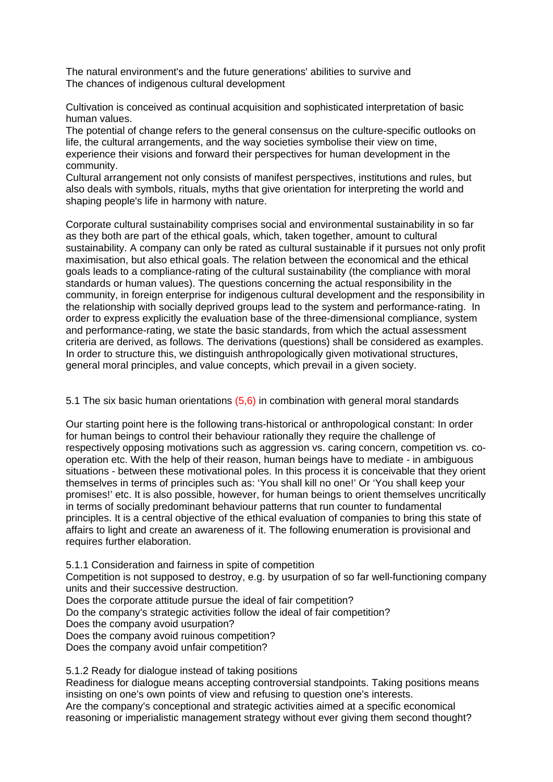The natural environment's and the future generations' abilities to survive and The chances of indigenous cultural development

Cultivation is conceived as continual acquisition and sophisticated interpretation of basic human values.

The potential of change refers to the general consensus on the culture-specific outlooks on life, the cultural arrangements, and the way societies symbolise their view on time, experience their visions and forward their perspectives for human development in the community.

Cultural arrangement not only consists of manifest perspectives, institutions and rules, but also deals with symbols, rituals, myths that give orientation for interpreting the world and shaping people's life in harmony with nature.

Corporate cultural sustainability comprises social and environmental sustainability in so far as they both are part of the ethical goals, which, taken together, amount to cultural sustainability. A company can only be rated as cultural sustainable if it pursues not only profit maximisation, but also ethical goals. The relation between the economical and the ethical goals leads to a compliance-rating of the cultural sustainability (the compliance with moral standards or human values). The questions concerning the actual responsibility in the community, in foreign enterprise for indigenous cultural development and the responsibility in the relationship with socially deprived groups lead to the system and performance-rating. In order to express explicitly the evaluation base of the three-dimensional compliance, system and performance-rating, we state the basic standards, from which the actual assessment criteria are derived, as follows. The derivations (questions) shall be considered as examples. In order to structure this, we distinguish anthropologically given motivational structures, general moral principles, and value concepts, which prevail in a given society.

5.1 The six basic human orientations (5,6) in combination with general moral standards

Our starting point here is the following trans-historical or anthropological constant: In order for human beings to control their behaviour rationally they require the challenge of respectively opposing motivations such as aggression vs. caring concern, competition vs. cooperation etc. With the help of their reason, human beings have to mediate - in ambiguous situations - between these motivational poles. In this process it is conceivable that they orient themselves in terms of principles such as: 'You shall kill no one!' Or 'You shall keep your promises!' etc. It is also possible, however, for human beings to orient themselves uncritically in terms of socially predominant behaviour patterns that run counter to fundamental principles. It is a central objective of the ethical evaluation of companies to bring this state of affairs to light and create an awareness of it. The following enumeration is provisional and requires further elaboration.

5.1.1 Consideration and fairness in spite of competition

Competition is not supposed to destroy, e.g. by usurpation of so far well-functioning company units and their successive destruction.

Does the corporate attitude pursue the ideal of fair competition?

Do the company's strategic activities follow the ideal of fair competition?

Does the company avoid usurpation?

Does the company avoid ruinous competition?

Does the company avoid unfair competition?

5.1.2 Ready for dialogue instead of taking positions

Readiness for dialogue means accepting controversial standpoints. Taking positions means insisting on one's own points of view and refusing to question one's interests. Are the company's conceptional and strategic activities aimed at a specific economical reasoning or imperialistic management strategy without ever giving them second thought?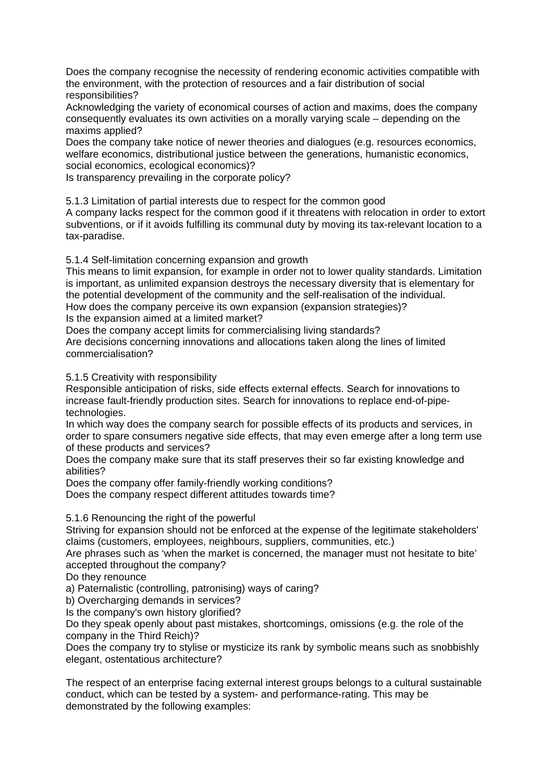Does the company recognise the necessity of rendering economic activities compatible with the environment, with the protection of resources and a fair distribution of social responsibilities?

Acknowledging the variety of economical courses of action and maxims, does the company consequently evaluates its own activities on a morally varying scale – depending on the maxims applied?

Does the company take notice of newer theories and dialogues (e.g. resources economics, welfare economics, distributional justice between the generations, humanistic economics, social economics, ecological economics)?

Is transparency prevailing in the corporate policy?

5.1.3 Limitation of partial interests due to respect for the common good

A company lacks respect for the common good if it threatens with relocation in order to extort subventions, or if it avoids fulfilling its communal duty by moving its tax-relevant location to a tax-paradise.

5.1.4 Self-limitation concerning expansion and growth

This means to limit expansion, for example in order not to lower quality standards. Limitation is important, as unlimited expansion destroys the necessary diversity that is elementary for the potential development of the community and the self-realisation of the individual. How does the company perceive its own expansion (expansion strategies)? Is the expansion aimed at a limited market?

Does the company accept limits for commercialising living standards?

Are decisions concerning innovations and allocations taken along the lines of limited commercialisation?

5.1.5 Creativity with responsibility

Responsible anticipation of risks, side effects external effects. Search for innovations to increase fault-friendly production sites. Search for innovations to replace end-of-pipetechnologies.

In which way does the company search for possible effects of its products and services, in order to spare consumers negative side effects, that may even emerge after a long term use of these products and services?

Does the company make sure that its staff preserves their so far existing knowledge and abilities?

Does the company offer family-friendly working conditions?

Does the company respect different attitudes towards time?

5.1.6 Renouncing the right of the powerful

Striving for expansion should not be enforced at the expense of the legitimate stakeholders' claims (customers, employees, neighbours, suppliers, communities, etc.)

Are phrases such as 'when the market is concerned, the manager must not hesitate to bite' accepted throughout the company?

Do they renounce

a) Paternalistic (controlling, patronising) ways of caring?

b) Overcharging demands in services?

Is the company's own history glorified?

Do they speak openly about past mistakes, shortcomings, omissions (e.g. the role of the company in the Third Reich)?

Does the company try to stylise or mysticize its rank by symbolic means such as snobbishly elegant, ostentatious architecture?

The respect of an enterprise facing external interest groups belongs to a cultural sustainable conduct, which can be tested by a system- and performance-rating. This may be demonstrated by the following examples: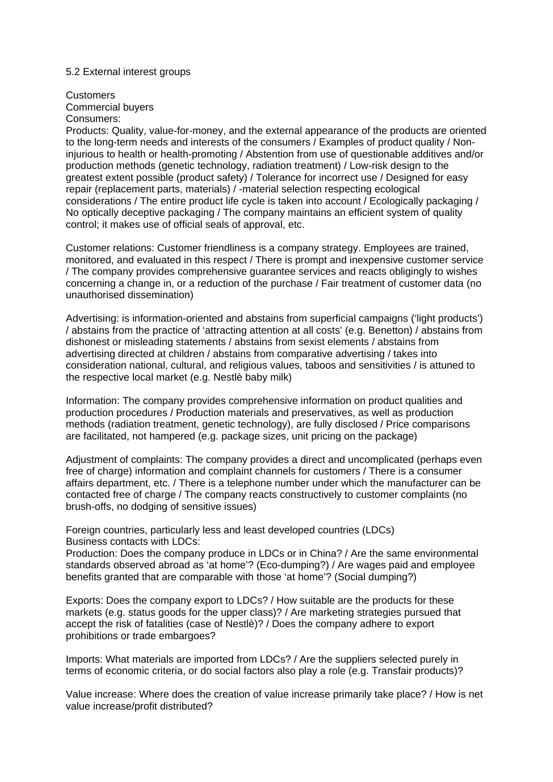### 5.2 External interest groups

#### **Customers**

Commercial buyers

# Consumers:

Products: Quality, value-for-money, and the external appearance of the products are oriented to the long-term needs and interests of the consumers / Examples of product quality / Noninjurious to health or health-promoting / Abstention from use of questionable additives and/or production methods (genetic technology, radiation treatment) / Low-risk design to the greatest extent possible (product safety) / Tolerance for incorrect use / Designed for easy repair (replacement parts, materials) / -material selection respecting ecological considerations / The entire product life cycle is taken into account / Ecologically packaging / No optically deceptive packaging / The company maintains an efficient system of quality control; it makes use of official seals of approval, etc.

Customer relations: Customer friendliness is a company strategy. Employees are trained, monitored, and evaluated in this respect / There is prompt and inexpensive customer service / The company provides comprehensive guarantee services and reacts obligingly to wishes concerning a change in, or a reduction of the purchase / Fair treatment of customer data (no unauthorised dissemination)

Advertising: is information-oriented and abstains from superficial campaigns ('light products') / abstains from the practice of 'attracting attention at all costs' (e.g. Benetton) / abstains from dishonest or misleading statements / abstains from sexist elements / abstains from advertising directed at children / abstains from comparative advertising / takes into consideration national, cultural, and religious values, taboos and sensitivities / is attuned to the respective local market (e.g. Nestlè baby milk)

Information: The company provides comprehensive information on product qualities and production procedures / Production materials and preservatives, as well as production methods (radiation treatment, genetic technology), are fully disclosed / Price comparisons are facilitated, not hampered (e.g. package sizes, unit pricing on the package)

Adjustment of complaints: The company provides a direct and uncomplicated (perhaps even free of charge) information and complaint channels for customers / There is a consumer affairs department, etc. / There is a telephone number under which the manufacturer can be contacted free of charge / The company reacts constructively to customer complaints (no brush-offs, no dodging of sensitive issues)

Foreign countries, particularly less and least developed countries (LDCs) Business contacts with LDCs:

Production: Does the company produce in LDCs or in China? / Are the same environmental standards observed abroad as 'at home'? (Eco-dumping?) / Are wages paid and employee benefits granted that are comparable with those 'at home'? (Social dumping?)

Exports: Does the company export to LDCs? / How suitable are the products for these markets (e.g. status goods for the upper class)? / Are marketing strategies pursued that accept the risk of fatalities (case of Nestlè)? / Does the company adhere to export prohibitions or trade embargoes?

Imports: What materials are imported from LDCs? / Are the suppliers selected purely in terms of economic criteria, or do social factors also play a role (e.g. Transfair products)?

Value increase: Where does the creation of value increase primarily take place? / How is net value increase/profit distributed?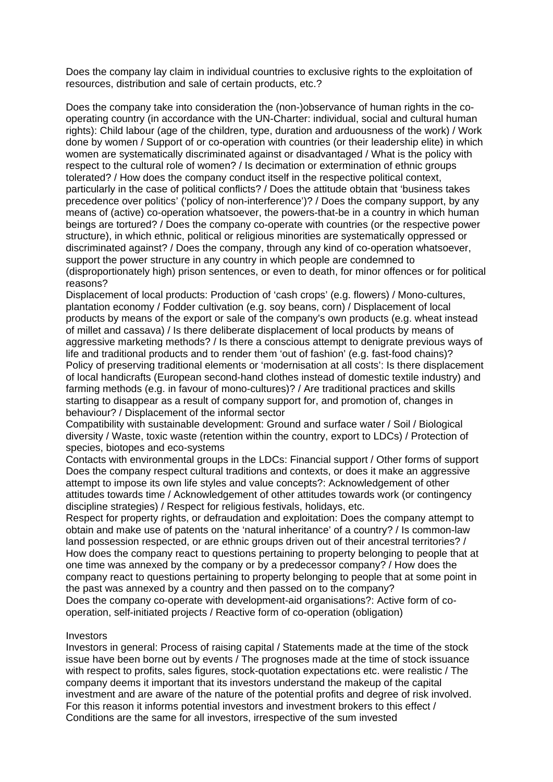Does the company lay claim in individual countries to exclusive rights to the exploitation of resources, distribution and sale of certain products, etc.?

Does the company take into consideration the (non-)observance of human rights in the cooperating country (in accordance with the UN-Charter: individual, social and cultural human rights): Child labour (age of the children, type, duration and arduousness of the work) / Work done by women / Support of or co-operation with countries (or their leadership elite) in which women are systematically discriminated against or disadvantaged / What is the policy with respect to the cultural role of women? / Is decimation or extermination of ethnic groups tolerated? / How does the company conduct itself in the respective political context, particularly in the case of political conflicts? / Does the attitude obtain that 'business takes precedence over politics' ('policy of non-interference')? / Does the company support, by any means of (active) co-operation whatsoever, the powers-that-be in a country in which human beings are tortured? / Does the company co-operate with countries (or the respective power structure), in which ethnic, political or religious minorities are systematically oppressed or discriminated against? / Does the company, through any kind of co-operation whatsoever, support the power structure in any country in which people are condemned to (disproportionately high) prison sentences, or even to death, for minor offences or for political reasons?

Displacement of local products: Production of 'cash crops' (e.g. flowers) / Mono-cultures, plantation economy / Fodder cultivation (e.g. soy beans, corn) / Displacement of local products by means of the export or sale of the company's own products (e.g. wheat instead of millet and cassava) / Is there deliberate displacement of local products by means of aggressive marketing methods? / Is there a conscious attempt to denigrate previous ways of life and traditional products and to render them 'out of fashion' (e.g. fast-food chains)? Policy of preserving traditional elements or 'modernisation at all costs': Is there displacement of local handicrafts (European second-hand clothes instead of domestic textile industry) and farming methods (e.g. in favour of mono-cultures)? / Are traditional practices and skills starting to disappear as a result of company support for, and promotion of, changes in behaviour? / Displacement of the informal sector

Compatibility with sustainable development: Ground and surface water / Soil / Biological diversity / Waste, toxic waste (retention within the country, export to LDCs) / Protection of species, biotopes and eco-systems

Contacts with environmental groups in the LDCs: Financial support / Other forms of support Does the company respect cultural traditions and contexts, or does it make an aggressive attempt to impose its own life styles and value concepts?: Acknowledgement of other attitudes towards time / Acknowledgement of other attitudes towards work (or contingency discipline strategies) / Respect for religious festivals, holidays, etc.

Respect for property rights, or defraudation and exploitation: Does the company attempt to obtain and make use of patents on the 'natural inheritance' of a country? / Is common-law land possession respected, or are ethnic groups driven out of their ancestral territories? / How does the company react to questions pertaining to property belonging to people that at one time was annexed by the company or by a predecessor company? / How does the company react to questions pertaining to property belonging to people that at some point in the past was annexed by a country and then passed on to the company? Does the company co-operate with development-aid organisations?: Active form of cooperation, self-initiated projects / Reactive form of co-operation (obligation)

### **Investors**

Investors in general: Process of raising capital / Statements made at the time of the stock issue have been borne out by events / The prognoses made at the time of stock issuance with respect to profits, sales figures, stock-quotation expectations etc. were realistic / The company deems it important that its investors understand the makeup of the capital investment and are aware of the nature of the potential profits and degree of risk involved. For this reason it informs potential investors and investment brokers to this effect / Conditions are the same for all investors, irrespective of the sum invested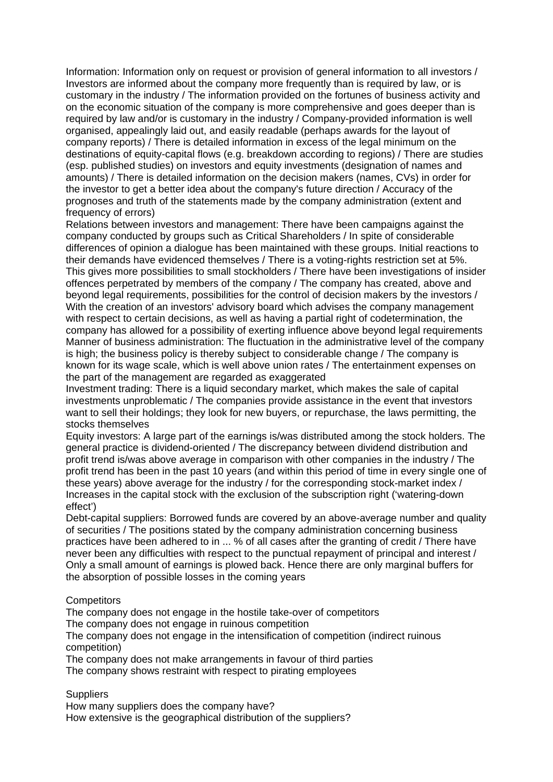Information: Information only on request or provision of general information to all investors / Investors are informed about the company more frequently than is required by law, or is customary in the industry / The information provided on the fortunes of business activity and on the economic situation of the company is more comprehensive and goes deeper than is required by law and/or is customary in the industry / Company-provided information is well organised, appealingly laid out, and easily readable (perhaps awards for the layout of company reports) / There is detailed information in excess of the legal minimum on the destinations of equity-capital flows (e.g. breakdown according to regions) / There are studies (esp. published studies) on investors and equity investments (designation of names and amounts) / There is detailed information on the decision makers (names, CVs) in order for the investor to get a better idea about the company's future direction / Accuracy of the prognoses and truth of the statements made by the company administration (extent and frequency of errors)

Relations between investors and management: There have been campaigns against the company conducted by groups such as Critical Shareholders / In spite of considerable differences of opinion a dialogue has been maintained with these groups. Initial reactions to their demands have evidenced themselves / There is a voting-rights restriction set at 5%. This gives more possibilities to small stockholders / There have been investigations of insider offences perpetrated by members of the company / The company has created, above and beyond legal requirements, possibilities for the control of decision makers by the investors / With the creation of an investors' advisory board which advises the company management with respect to certain decisions, as well as having a partial right of codetermination, the company has allowed for a possibility of exerting influence above beyond legal requirements Manner of business administration: The fluctuation in the administrative level of the company is high; the business policy is thereby subject to considerable change / The company is known for its wage scale, which is well above union rates / The entertainment expenses on the part of the management are regarded as exaggerated

Investment trading: There is a liquid secondary market, which makes the sale of capital investments unproblematic / The companies provide assistance in the event that investors want to sell their holdings; they look for new buyers, or repurchase, the laws permitting, the stocks themselves

Equity investors: A large part of the earnings is/was distributed among the stock holders. The general practice is dividend-oriented / The discrepancy between dividend distribution and profit trend is/was above average in comparison with other companies in the industry / The profit trend has been in the past 10 years (and within this period of time in every single one of these years) above average for the industry / for the corresponding stock-market index / Increases in the capital stock with the exclusion of the subscription right ('watering-down effect')

Debt-capital suppliers: Borrowed funds are covered by an above-average number and quality of securities / The positions stated by the company administration concerning business practices have been adhered to in ... % of all cases after the granting of credit / There have never been any difficulties with respect to the punctual repayment of principal and interest / Only a small amount of earnings is plowed back. Hence there are only marginal buffers for the absorption of possible losses in the coming years

## **Competitors**

The company does not engage in the hostile take-over of competitors

The company does not engage in ruinous competition

The company does not engage in the intensification of competition (indirect ruinous competition)

The company does not make arrangements in favour of third parties The company shows restraint with respect to pirating employees

## **Suppliers**

How many suppliers does the company have? How extensive is the geographical distribution of the suppliers?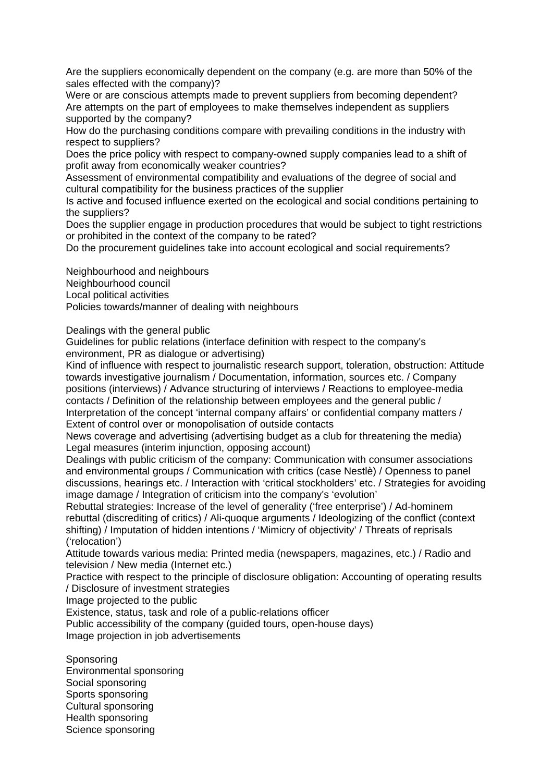Are the suppliers economically dependent on the company (e.g. are more than 50% of the sales effected with the company)?

Were or are conscious attempts made to prevent suppliers from becoming dependent? Are attempts on the part of employees to make themselves independent as suppliers supported by the company?

How do the purchasing conditions compare with prevailing conditions in the industry with respect to suppliers?

Does the price policy with respect to company-owned supply companies lead to a shift of profit away from economically weaker countries?

Assessment of environmental compatibility and evaluations of the degree of social and cultural compatibility for the business practices of the supplier

Is active and focused influence exerted on the ecological and social conditions pertaining to the suppliers?

Does the supplier engage in production procedures that would be subject to tight restrictions or prohibited in the context of the company to be rated?

Do the procurement guidelines take into account ecological and social requirements?

Neighbourhood and neighbours Neighbourhood council

Local political activities

Policies towards/manner of dealing with neighbours

Dealings with the general public

Guidelines for public relations (interface definition with respect to the company's environment, PR as dialogue or advertising)

Kind of influence with respect to journalistic research support, toleration, obstruction: Attitude towards investigative journalism / Documentation, information, sources etc. / Company positions (interviews) / Advance structuring of interviews / Reactions to employee-media contacts / Definition of the relationship between employees and the general public / Interpretation of the concept 'internal company affairs' or confidential company matters / Extent of control over or monopolisation of outside contacts

News coverage and advertising (advertising budget as a club for threatening the media) Legal measures (interim injunction, opposing account)

Dealings with public criticism of the company: Communication with consumer associations and environmental groups / Communication with critics (case Nestlè) / Openness to panel discussions, hearings etc. / Interaction with 'critical stockholders' etc. / Strategies for avoiding image damage / Integration of criticism into the company's 'evolution'

Rebuttal strategies: Increase of the level of generality ('free enterprise') / Ad-hominem rebuttal (discrediting of critics) / Ali-quoque arguments / Ideologizing of the conflict (context shifting) / Imputation of hidden intentions / 'Mimicry of objectivity' / Threats of reprisals ('relocation')

Attitude towards various media: Printed media (newspapers, magazines, etc.) / Radio and television / New media (Internet etc.)

Practice with respect to the principle of disclosure obligation: Accounting of operating results / Disclosure of investment strategies

Image projected to the public

Existence, status, task and role of a public-relations officer

Public accessibility of the company (guided tours, open-house days) Image projection in job advertisements

**Sponsoring** Environmental sponsoring Social sponsoring Sports sponsoring Cultural sponsoring Health sponsoring Science sponsoring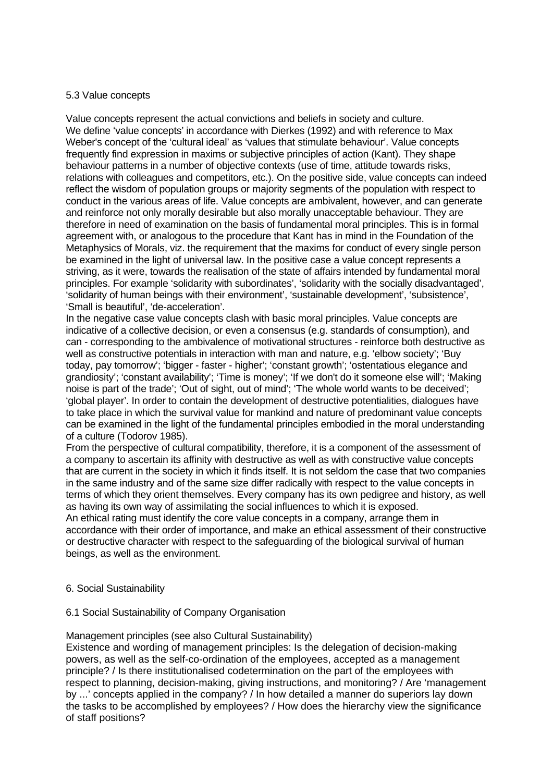### 5.3 Value concepts

Value concepts represent the actual convictions and beliefs in society and culture. We define 'value concepts' in accordance with Dierkes (1992) and with reference to Max Weber's concept of the 'cultural ideal' as 'values that stimulate behaviour'. Value concepts frequently find expression in maxims or subjective principles of action (Kant). They shape behaviour patterns in a number of objective contexts (use of time, attitude towards risks, relations with colleagues and competitors, etc.). On the positive side, value concepts can indeed reflect the wisdom of population groups or majority segments of the population with respect to conduct in the various areas of life. Value concepts are ambivalent, however, and can generate and reinforce not only morally desirable but also morally unacceptable behaviour. They are therefore in need of examination on the basis of fundamental moral principles. This is in formal agreement with, or analogous to the procedure that Kant has in mind in the Foundation of the Metaphysics of Morals, viz. the requirement that the maxims for conduct of every single person be examined in the light of universal law. In the positive case a value concept represents a striving, as it were, towards the realisation of the state of affairs intended by fundamental moral principles. For example 'solidarity with subordinates', 'solidarity with the socially disadvantaged', 'solidarity of human beings with their environment', 'sustainable development', 'subsistence', 'Small is beautiful', 'de-acceleration'.

In the negative case value concepts clash with basic moral principles. Value concepts are indicative of a collective decision, or even a consensus (e.g. standards of consumption), and can - corresponding to the ambivalence of motivational structures - reinforce both destructive as well as constructive potentials in interaction with man and nature, e.g. 'elbow society'; 'Buy today, pay tomorrow'; 'bigger - faster - higher'; 'constant growth'; 'ostentatious elegance and grandiosity'; 'constant availability'; 'Time is money'; 'If we don't do it someone else will'; 'Making noise is part of the trade'; 'Out of sight, out of mind'; 'The whole world wants to be deceived'; 'global player'. In order to contain the development of destructive potentialities, dialogues have to take place in which the survival value for mankind and nature of predominant value concepts can be examined in the light of the fundamental principles embodied in the moral understanding of a culture (Todorov 1985).

From the perspective of cultural compatibility, therefore, it is a component of the assessment of a company to ascertain its affinity with destructive as well as with constructive value concepts that are current in the society in which it finds itself. It is not seldom the case that two companies in the same industry and of the same size differ radically with respect to the value concepts in terms of which they orient themselves. Every company has its own pedigree and history, as well as having its own way of assimilating the social influences to which it is exposed. An ethical rating must identify the core value concepts in a company, arrange them in accordance with their order of importance, and make an ethical assessment of their constructive or destructive character with respect to the safeguarding of the biological survival of human beings, as well as the environment.

## 6. Social Sustainability

## 6.1 Social Sustainability of Company Organisation

## Management principles (see also Cultural Sustainability)

Existence and wording of management principles: Is the delegation of decision-making powers, as well as the self-co-ordination of the employees, accepted as a management principle? / Is there institutionalised codetermination on the part of the employees with respect to planning, decision-making, giving instructions, and monitoring? / Are 'management by ...' concepts applied in the company? / In how detailed a manner do superiors lay down the tasks to be accomplished by employees? / How does the hierarchy view the significance of staff positions?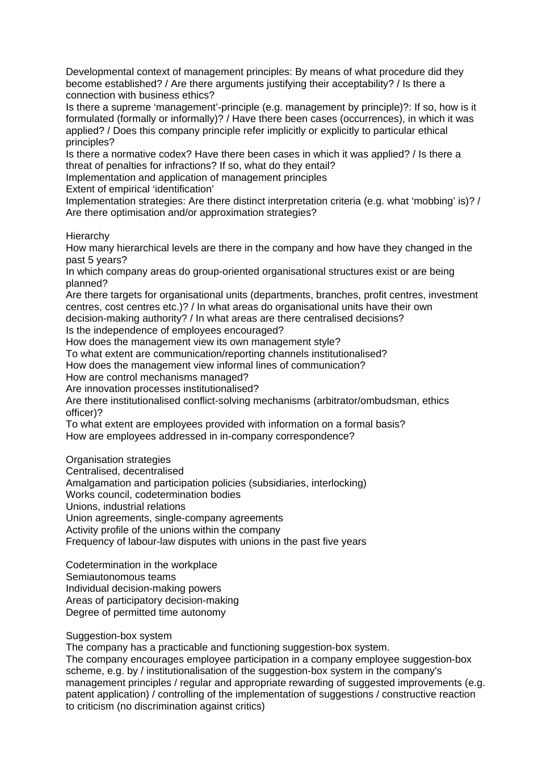Developmental context of management principles: By means of what procedure did they become established? / Are there arguments justifying their acceptability? / Is there a connection with business ethics?

Is there a supreme 'management'-principle (e.g. management by principle)?: If so, how is it formulated (formally or informally)? / Have there been cases (occurrences), in which it was applied? / Does this company principle refer implicitly or explicitly to particular ethical principles?

Is there a normative codex? Have there been cases in which it was applied? / Is there a threat of penalties for infractions? If so, what do they entail?

Implementation and application of management principles

Extent of empirical 'identification'

Implementation strategies: Are there distinct interpretation criteria (e.g. what 'mobbing' is)? / Are there optimisation and/or approximation strategies?

Hierarchy

How many hierarchical levels are there in the company and how have they changed in the past 5 years?

In which company areas do group-oriented organisational structures exist or are being planned?

Are there targets for organisational units (departments, branches, profit centres, investment centres, cost centres etc.)? / In what areas do organisational units have their own

decision-making authority? / In what areas are there centralised decisions?

Is the independence of employees encouraged?

How does the management view its own management style?

To what extent are communication/reporting channels institutionalised?

How does the management view informal lines of communication?

How are control mechanisms managed?

Are innovation processes institutionalised?

Are there institutionalised conflict-solving mechanisms (arbitrator/ombudsman, ethics officer)?

To what extent are employees provided with information on a formal basis?

How are employees addressed in in-company correspondence?

Organisation strategies

Centralised, decentralised

Amalgamation and participation policies (subsidiaries, interlocking)

Works council, codetermination bodies

Unions, industrial relations

Union agreements, single-company agreements

Activity profile of the unions within the company

Frequency of labour-law disputes with unions in the past five years

Codetermination in the workplace

Semiautonomous teams

Individual decision-making powers

Areas of participatory decision-making

Degree of permitted time autonomy

Suggestion-box system

The company has a practicable and functioning suggestion-box system.

The company encourages employee participation in a company employee suggestion-box scheme, e.g. by / institutionalisation of the suggestion-box system in the company's management principles / regular and appropriate rewarding of suggested improvements (e.g. patent application) / controlling of the implementation of suggestions / constructive reaction to criticism (no discrimination against critics)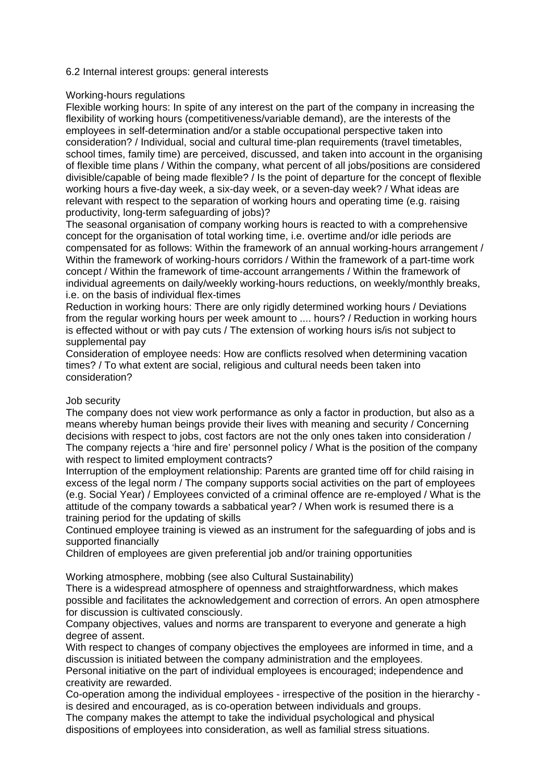### 6.2 Internal interest groups: general interests

### Working-hours regulations

Flexible working hours: In spite of any interest on the part of the company in increasing the flexibility of working hours (competitiveness/variable demand), are the interests of the employees in self-determination and/or a stable occupational perspective taken into consideration? / Individual, social and cultural time-plan requirements (travel timetables, school times, family time) are perceived, discussed, and taken into account in the organising of flexible time plans / Within the company, what percent of all jobs/positions are considered divisible/capable of being made flexible? / Is the point of departure for the concept of flexible working hours a five-day week, a six-day week, or a seven-day week? / What ideas are relevant with respect to the separation of working hours and operating time (e.g. raising productivity, long-term safeguarding of jobs)?

The seasonal organisation of company working hours is reacted to with a comprehensive concept for the organisation of total working time, i.e. overtime and/or idle periods are compensated for as follows: Within the framework of an annual working-hours arrangement / Within the framework of working-hours corridors / Within the framework of a part-time work concept / Within the framework of time-account arrangements / Within the framework of individual agreements on daily/weekly working-hours reductions, on weekly/monthly breaks, i.e. on the basis of individual flex-times

Reduction in working hours: There are only rigidly determined working hours / Deviations from the regular working hours per week amount to .... hours? / Reduction in working hours is effected without or with pay cuts / The extension of working hours is/is not subject to supplemental pay

Consideration of employee needs: How are conflicts resolved when determining vacation times? / To what extent are social, religious and cultural needs been taken into consideration?

### Job security

The company does not view work performance as only a factor in production, but also as a means whereby human beings provide their lives with meaning and security / Concerning decisions with respect to jobs, cost factors are not the only ones taken into consideration / The company rejects a 'hire and fire' personnel policy / What is the position of the company with respect to limited employment contracts?

Interruption of the employment relationship: Parents are granted time off for child raising in excess of the legal norm / The company supports social activities on the part of employees (e.g. Social Year) / Employees convicted of a criminal offence are re-employed / What is the attitude of the company towards a sabbatical year? / When work is resumed there is a training period for the updating of skills

Continued employee training is viewed as an instrument for the safeguarding of jobs and is supported financially

Children of employees are given preferential job and/or training opportunities

Working atmosphere, mobbing (see also Cultural Sustainability)

There is a widespread atmosphere of openness and straightforwardness, which makes possible and facilitates the acknowledgement and correction of errors. An open atmosphere for discussion is cultivated consciously.

Company objectives, values and norms are transparent to everyone and generate a high degree of assent.

With respect to changes of company objectives the employees are informed in time, and a discussion is initiated between the company administration and the employees.

Personal initiative on the part of individual employees is encouraged; independence and creativity are rewarded.

Co-operation among the individual employees - irrespective of the position in the hierarchy is desired and encouraged, as is co-operation between individuals and groups.

The company makes the attempt to take the individual psychological and physical dispositions of employees into consideration, as well as familial stress situations.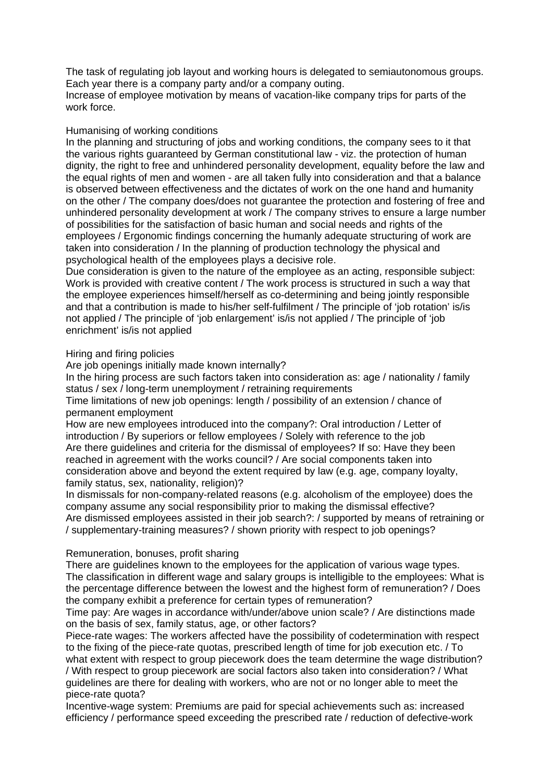The task of regulating job layout and working hours is delegated to semiautonomous groups. Each year there is a company party and/or a company outing.

Increase of employee motivation by means of vacation-like company trips for parts of the work force.

### Humanising of working conditions

In the planning and structuring of jobs and working conditions, the company sees to it that the various rights guaranteed by German constitutional law - viz. the protection of human dignity, the right to free and unhindered personality development, equality before the law and the equal rights of men and women - are all taken fully into consideration and that a balance is observed between effectiveness and the dictates of work on the one hand and humanity on the other / The company does/does not guarantee the protection and fostering of free and unhindered personality development at work / The company strives to ensure a large number of possibilities for the satisfaction of basic human and social needs and rights of the employees / Ergonomic findings concerning the humanly adequate structuring of work are taken into consideration / In the planning of production technology the physical and psychological health of the employees plays a decisive role.

Due consideration is given to the nature of the employee as an acting, responsible subject: Work is provided with creative content / The work process is structured in such a way that the employee experiences himself/herself as co-determining and being jointly responsible and that a contribution is made to his/her self-fulfilment / The principle of 'job rotation' is/is not applied / The principle of 'job enlargement' is/is not applied / The principle of 'job enrichment' is/is not applied

Hiring and firing policies

Are job openings initially made known internally?

In the hiring process are such factors taken into consideration as: age / nationality / family status / sex / long-term unemployment / retraining requirements

Time limitations of new job openings: length / possibility of an extension / chance of permanent employment

How are new employees introduced into the company?: Oral introduction / Letter of introduction / By superiors or fellow employees / Solely with reference to the job Are there guidelines and criteria for the dismissal of employees? If so: Have they been reached in agreement with the works council? / Are social components taken into consideration above and beyond the extent required by law (e.g. age, company loyalty, family status, sex, nationality, religion)?

In dismissals for non-company-related reasons (e.g. alcoholism of the employee) does the company assume any social responsibility prior to making the dismissal effective? Are dismissed employees assisted in their job search?: / supported by means of retraining or / supplementary-training measures? / shown priority with respect to job openings?

### Remuneration, bonuses, profit sharing

There are guidelines known to the employees for the application of various wage types. The classification in different wage and salary groups is intelligible to the employees: What is the percentage difference between the lowest and the highest form of remuneration? / Does the company exhibit a preference for certain types of remuneration?

Time pay: Are wages in accordance with/under/above union scale? / Are distinctions made on the basis of sex, family status, age, or other factors?

Piece-rate wages: The workers affected have the possibility of codetermination with respect to the fixing of the piece-rate quotas, prescribed length of time for job execution etc. / To what extent with respect to group piecework does the team determine the wage distribution? / With respect to group piecework are social factors also taken into consideration? / What guidelines are there for dealing with workers, who are not or no longer able to meet the piece-rate quota?

Incentive-wage system: Premiums are paid for special achievements such as: increased efficiency / performance speed exceeding the prescribed rate / reduction of defective-work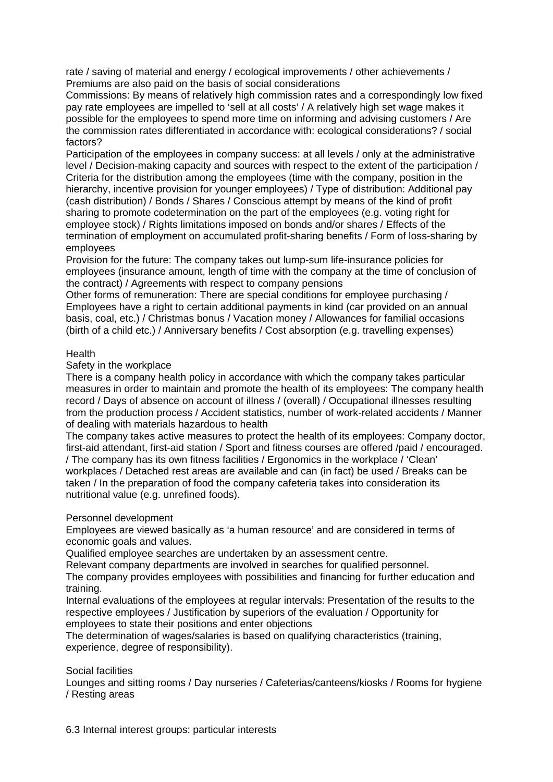rate / saving of material and energy / ecological improvements / other achievements / Premiums are also paid on the basis of social considerations

Commissions: By means of relatively high commission rates and a correspondingly low fixed pay rate employees are impelled to 'sell at all costs' / A relatively high set wage makes it possible for the employees to spend more time on informing and advising customers / Are the commission rates differentiated in accordance with: ecological considerations? / social factors?

Participation of the employees in company success: at all levels / only at the administrative level / Decision-making capacity and sources with respect to the extent of the participation / Criteria for the distribution among the employees (time with the company, position in the hierarchy, incentive provision for younger employees) / Type of distribution: Additional pay (cash distribution) / Bonds / Shares / Conscious attempt by means of the kind of profit sharing to promote codetermination on the part of the employees (e.g. voting right for employee stock) / Rights limitations imposed on bonds and/or shares / Effects of the termination of employment on accumulated profit-sharing benefits / Form of loss-sharing by employees

Provision for the future: The company takes out lump-sum life-insurance policies for employees (insurance amount, length of time with the company at the time of conclusion of the contract) / Agreements with respect to company pensions

Other forms of remuneration: There are special conditions for employee purchasing / Employees have a right to certain additional payments in kind (car provided on an annual basis, coal, etc.) / Christmas bonus / Vacation money / Allowances for familial occasions (birth of a child etc.) / Anniversary benefits / Cost absorption (e.g. travelling expenses)

### **Health**

Safety in the workplace

There is a company health policy in accordance with which the company takes particular measures in order to maintain and promote the health of its employees: The company health record / Days of absence on account of illness / (overall) / Occupational illnesses resulting from the production process / Accident statistics, number of work-related accidents / Manner of dealing with materials hazardous to health

The company takes active measures to protect the health of its employees: Company doctor, first-aid attendant, first-aid station / Sport and fitness courses are offered /paid / encouraged. / The company has its own fitness facilities / Ergonomics in the workplace / 'Clean'

workplaces / Detached rest areas are available and can (in fact) be used / Breaks can be taken / In the preparation of food the company cafeteria takes into consideration its nutritional value (e.g. unrefined foods).

### Personnel development

Employees are viewed basically as 'a human resource' and are considered in terms of economic goals and values.

Qualified employee searches are undertaken by an assessment centre.

Relevant company departments are involved in searches for qualified personnel.

The company provides employees with possibilities and financing for further education and training.

Internal evaluations of the employees at regular intervals: Presentation of the results to the respective employees / Justification by superiors of the evaluation / Opportunity for employees to state their positions and enter objections

The determination of wages/salaries is based on qualifying characteristics (training, experience, degree of responsibility).

## Social facilities

Lounges and sitting rooms / Day nurseries / Cafeterias/canteens/kiosks / Rooms for hygiene / Resting areas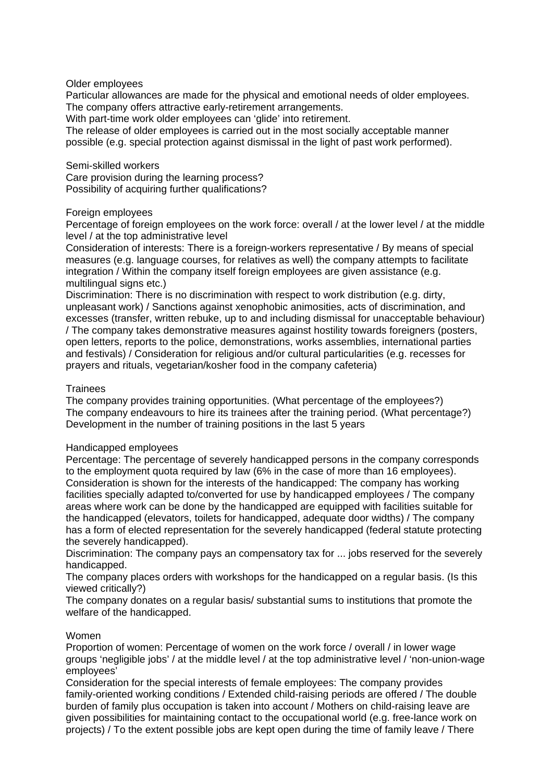### Older employees

Particular allowances are made for the physical and emotional needs of older employees. The company offers attractive early-retirement arrangements.

With part-time work older employees can 'glide' into retirement.

The release of older employees is carried out in the most socially acceptable manner possible (e.g. special protection against dismissal in the light of past work performed).

#### Semi-skilled workers

Care provision during the learning process? Possibility of acquiring further qualifications?

### Foreign employees

Percentage of foreign employees on the work force: overall / at the lower level / at the middle level / at the top administrative level

Consideration of interests: There is a foreign-workers representative / By means of special measures (e.g. language courses, for relatives as well) the company attempts to facilitate integration / Within the company itself foreign employees are given assistance (e.g. multilingual signs etc.)

Discrimination: There is no discrimination with respect to work distribution (e.g. dirty, unpleasant work) / Sanctions against xenophobic animosities, acts of discrimination, and excesses (transfer, written rebuke, up to and including dismissal for unacceptable behaviour) / The company takes demonstrative measures against hostility towards foreigners (posters, open letters, reports to the police, demonstrations, works assemblies, international parties and festivals) / Consideration for religious and/or cultural particularities (e.g. recesses for prayers and rituals, vegetarian/kosher food in the company cafeteria)

### **Trainees**

The company provides training opportunities. (What percentage of the employees?) The company endeavours to hire its trainees after the training period. (What percentage?) Development in the number of training positions in the last 5 years

### Handicapped employees

Percentage: The percentage of severely handicapped persons in the company corresponds to the employment quota required by law (6% in the case of more than 16 employees). Consideration is shown for the interests of the handicapped: The company has working facilities specially adapted to/converted for use by handicapped employees / The company areas where work can be done by the handicapped are equipped with facilities suitable for the handicapped (elevators, toilets for handicapped, adequate door widths) / The company has a form of elected representation for the severely handicapped (federal statute protecting the severely handicapped).

Discrimination: The company pays an compensatory tax for ... jobs reserved for the severely handicapped.

The company places orders with workshops for the handicapped on a regular basis. (Is this viewed critically?)

The company donates on a regular basis/ substantial sums to institutions that promote the welfare of the handicapped.

## Women

Proportion of women: Percentage of women on the work force / overall / in lower wage groups 'negligible jobs' / at the middle level / at the top administrative level / 'non-union-wage employees'

Consideration for the special interests of female employees: The company provides family-oriented working conditions / Extended child-raising periods are offered / The double burden of family plus occupation is taken into account / Mothers on child-raising leave are given possibilities for maintaining contact to the occupational world (e.g. free-lance work on projects) / To the extent possible jobs are kept open during the time of family leave / There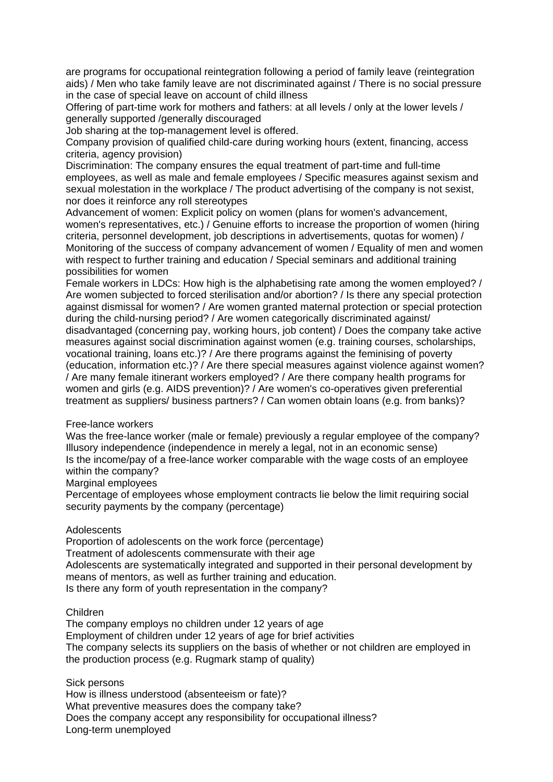are programs for occupational reintegration following a period of family leave (reintegration aids) / Men who take family leave are not discriminated against / There is no social pressure in the case of special leave on account of child illness

Offering of part-time work for mothers and fathers: at all levels / only at the lower levels / generally supported /generally discouraged

Job sharing at the top-management level is offered.

Company provision of qualified child-care during working hours (extent, financing, access criteria, agency provision)

Discrimination: The company ensures the equal treatment of part-time and full-time employees, as well as male and female employees / Specific measures against sexism and sexual molestation in the workplace / The product advertising of the company is not sexist, nor does it reinforce any roll stereotypes

Advancement of women: Explicit policy on women (plans for women's advancement, women's representatives, etc.) / Genuine efforts to increase the proportion of women (hiring criteria, personnel development, job descriptions in advertisements, quotas for women) / Monitoring of the success of company advancement of women / Equality of men and women with respect to further training and education / Special seminars and additional training possibilities for women

Female workers in LDCs: How high is the alphabetising rate among the women employed? / Are women subjected to forced sterilisation and/or abortion? / Is there any special protection against dismissal for women? / Are women granted maternal protection or special protection during the child-nursing period? / Are women categorically discriminated against/ disadvantaged (concerning pay, working hours, job content) / Does the company take active measures against social discrimination against women (e.g. training courses, scholarships, vocational training, loans etc.)? / Are there programs against the feminising of poverty (education, information etc.)? / Are there special measures against violence against women? / Are many female itinerant workers employed? / Are there company health programs for women and girls (e.g. AIDS prevention)? / Are women's co-operatives given preferential treatment as suppliers/ business partners? / Can women obtain loans (e.g. from banks)?

### Free-lance workers

Was the free-lance worker (male or female) previously a regular employee of the company? Illusory independence (independence in merely a legal, not in an economic sense) Is the income/pay of a free-lance worker comparable with the wage costs of an employee within the company?

Marginal employees

Percentage of employees whose employment contracts lie below the limit requiring social security payments by the company (percentage)

## Adolescents

Proportion of adolescents on the work force (percentage) Treatment of adolescents commensurate with their age Adolescents are systematically integrated and supported in their personal development by means of mentors, as well as further training and education. Is there any form of youth representation in the company?

### Children

The company employs no children under 12 years of age Employment of children under 12 years of age for brief activities The company selects its suppliers on the basis of whether or not children are employed in the production process (e.g. Rugmark stamp of quality)

Sick persons

How is illness understood (absenteeism or fate)? What preventive measures does the company take? Does the company accept any responsibility for occupational illness? Long-term unemployed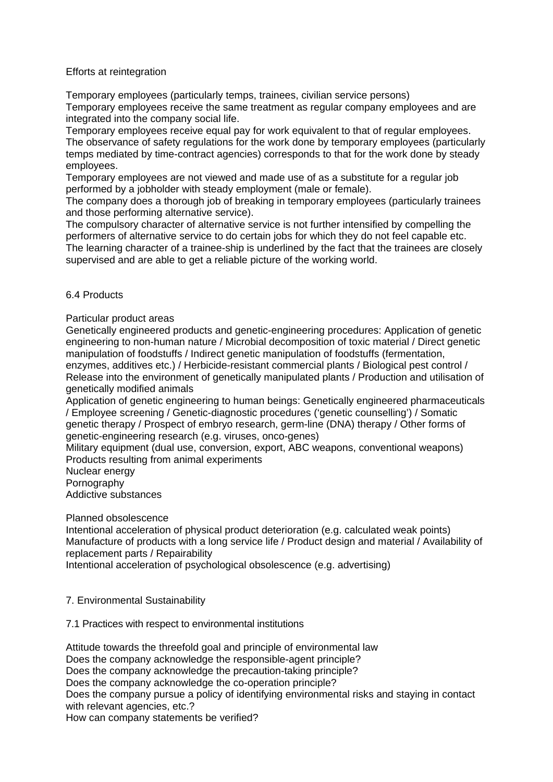## Efforts at reintegration

Temporary employees (particularly temps, trainees, civilian service persons) Temporary employees receive the same treatment as regular company employees and are integrated into the company social life.

Temporary employees receive equal pay for work equivalent to that of regular employees. The observance of safety regulations for the work done by temporary employees (particularly temps mediated by time-contract agencies) corresponds to that for the work done by steady employees.

Temporary employees are not viewed and made use of as a substitute for a regular job performed by a jobholder with steady employment (male or female).

The company does a thorough job of breaking in temporary employees (particularly trainees and those performing alternative service).

The compulsory character of alternative service is not further intensified by compelling the performers of alternative service to do certain jobs for which they do not feel capable etc. The learning character of a trainee-ship is underlined by the fact that the trainees are closely supervised and are able to get a reliable picture of the working world.

### 6.4 Products

Particular product areas

Genetically engineered products and genetic-engineering procedures: Application of genetic engineering to non-human nature / Microbial decomposition of toxic material / Direct genetic manipulation of foodstuffs / Indirect genetic manipulation of foodstuffs (fermentation, enzymes, additives etc.) / Herbicide-resistant commercial plants / Biological pest control / Release into the environment of genetically manipulated plants / Production and utilisation of genetically modified animals

Application of genetic engineering to human beings: Genetically engineered pharmaceuticals / Employee screening / Genetic-diagnostic procedures ('genetic counselling') / Somatic genetic therapy / Prospect of embryo research, germ-line (DNA) therapy / Other forms of genetic-engineering research (e.g. viruses, onco-genes)

Military equipment (dual use, conversion, export, ABC weapons, conventional weapons) Products resulting from animal experiments

Nuclear energy

**Pornography** 

Addictive substances

### Planned obsolescence

Intentional acceleration of physical product deterioration (e.g. calculated weak points) Manufacture of products with a long service life / Product design and material / Availability of replacement parts / Repairability

Intentional acceleration of psychological obsolescence (e.g. advertising)

### 7. Environmental Sustainability

7.1 Practices with respect to environmental institutions

Attitude towards the threefold goal and principle of environmental law Does the company acknowledge the responsible-agent principle? Does the company acknowledge the precaution-taking principle? Does the company acknowledge the co-operation principle? Does the company pursue a policy of identifying environmental risks and staying in contact with relevant agencies, etc.? How can company statements be verified?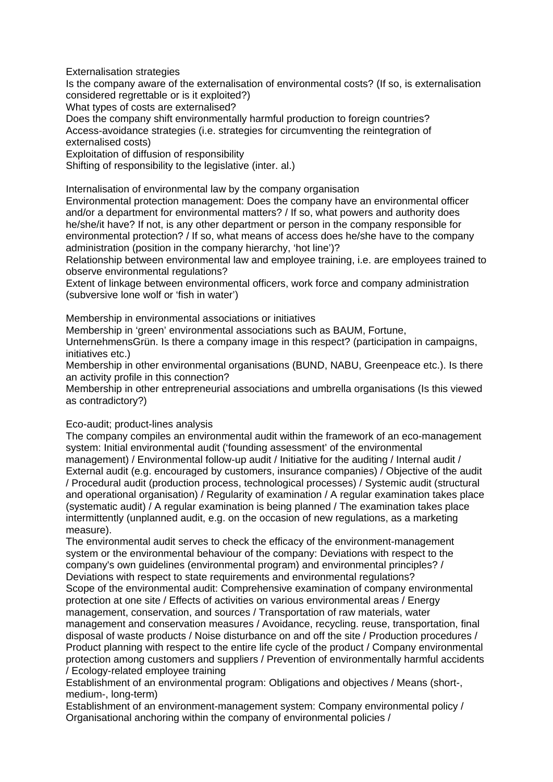Externalisation strategies

Is the company aware of the externalisation of environmental costs? (If so, is externalisation considered regrettable or is it exploited?)

What types of costs are externalised?

Does the company shift environmentally harmful production to foreign countries? Access-avoidance strategies (i.e. strategies for circumventing the reintegration of externalised costs)

Exploitation of diffusion of responsibility

Shifting of responsibility to the legislative (inter. al.)

Internalisation of environmental law by the company organisation

Environmental protection management: Does the company have an environmental officer and/or a department for environmental matters? / If so, what powers and authority does he/she/it have? If not, is any other department or person in the company responsible for environmental protection? / If so, what means of access does he/she have to the company administration (position in the company hierarchy, 'hot line')?

Relationship between environmental law and employee training, i.e. are employees trained to observe environmental regulations?

Extent of linkage between environmental officers, work force and company administration (subversive lone wolf or 'fish in water')

Membership in environmental associations or initiatives

Membership in 'green' environmental associations such as BAUM, Fortune,

UnternehmensGrün. Is there a company image in this respect? (participation in campaigns, initiatives etc.)

Membership in other environmental organisations (BUND, NABU, Greenpeace etc.). Is there an activity profile in this connection?

Membership in other entrepreneurial associations and umbrella organisations (Is this viewed as contradictory?)

## Eco-audit; product-lines analysis

The company compiles an environmental audit within the framework of an eco-management system: Initial environmental audit ('founding assessment' of the environmental management) / Environmental follow-up audit / Initiative for the auditing / Internal audit / External audit (e.g. encouraged by customers, insurance companies) / Objective of the audit / Procedural audit (production process, technological processes) / Systemic audit (structural and operational organisation) / Regularity of examination / A regular examination takes place (systematic audit) / A regular examination is being planned / The examination takes place intermittently (unplanned audit, e.g. on the occasion of new regulations, as a marketing measure).

The environmental audit serves to check the efficacy of the environment-management system or the environmental behaviour of the company: Deviations with respect to the company's own guidelines (environmental program) and environmental principles? / Deviations with respect to state requirements and environmental regulations? Scope of the environmental audit: Comprehensive examination of company environmental protection at one site / Effects of activities on various environmental areas / Energy management, conservation, and sources / Transportation of raw materials, water management and conservation measures / Avoidance, recycling. reuse, transportation, final disposal of waste products / Noise disturbance on and off the site / Production procedures / Product planning with respect to the entire life cycle of the product / Company environmental protection among customers and suppliers / Prevention of environmentally harmful accidents / Ecology-related employee training

Establishment of an environmental program: Obligations and objectives / Means (short-, medium-, long-term)

Establishment of an environment-management system: Company environmental policy / Organisational anchoring within the company of environmental policies /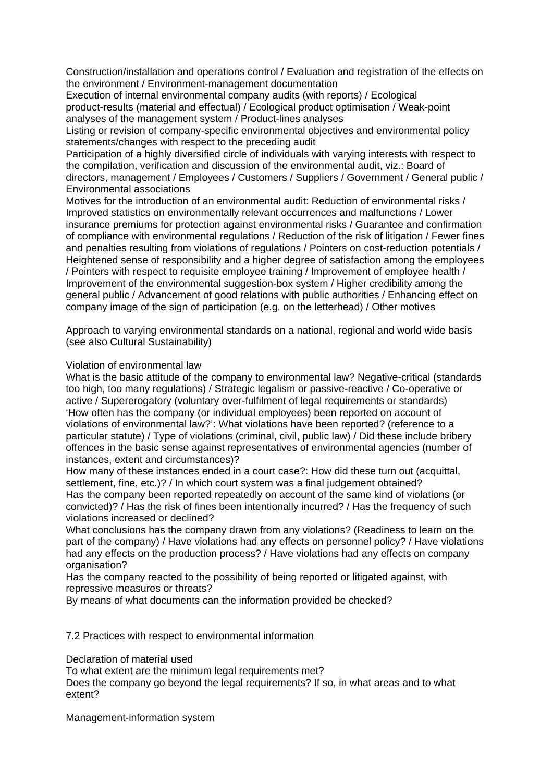Construction/installation and operations control / Evaluation and registration of the effects on the environment / Environment-management documentation

Execution of internal environmental company audits (with reports) / Ecological product-results (material and effectual) / Ecological product optimisation / Weak-point analyses of the management system / Product-lines analyses

Listing or revision of company-specific environmental objectives and environmental policy statements/changes with respect to the preceding audit

Participation of a highly diversified circle of individuals with varying interests with respect to the compilation, verification and discussion of the environmental audit, viz.: Board of directors, management / Employees / Customers / Suppliers / Government / General public / Environmental associations

Motives for the introduction of an environmental audit: Reduction of environmental risks / Improved statistics on environmentally relevant occurrences and malfunctions / Lower insurance premiums for protection against environmental risks / Guarantee and confirmation of compliance with environmental regulations / Reduction of the risk of litigation / Fewer fines and penalties resulting from violations of regulations / Pointers on cost-reduction potentials / Heightened sense of responsibility and a higher degree of satisfaction among the employees / Pointers with respect to requisite employee training / Improvement of employee health / Improvement of the environmental suggestion-box system / Higher credibility among the general public / Advancement of good relations with public authorities / Enhancing effect on company image of the sign of participation (e.g. on the letterhead) / Other motives

Approach to varying environmental standards on a national, regional and world wide basis (see also Cultural Sustainability)

### Violation of environmental law

What is the basic attitude of the company to environmental law? Negative-critical (standards too high, too many regulations) / Strategic legalism or passive-reactive / Co-operative or active / Supererogatory (voluntary over-fulfilment of legal requirements or standards) 'How often has the company (or individual employees) been reported on account of violations of environmental law?': What violations have been reported? (reference to a particular statute) / Type of violations (criminal, civil, public law) / Did these include bribery offences in the basic sense against representatives of environmental agencies (number of instances, extent and circumstances)?

How many of these instances ended in a court case?: How did these turn out (acquittal, settlement, fine, etc.)? / In which court system was a final judgement obtained? Has the company been reported repeatedly on account of the same kind of violations (or convicted)? / Has the risk of fines been intentionally incurred? / Has the frequency of such violations increased or declined?

What conclusions has the company drawn from any violations? (Readiness to learn on the part of the company) / Have violations had any effects on personnel policy? / Have violations had any effects on the production process? / Have violations had any effects on company organisation?

Has the company reacted to the possibility of being reported or litigated against, with repressive measures or threats?

By means of what documents can the information provided be checked?

7.2 Practices with respect to environmental information

Declaration of material used

To what extent are the minimum legal requirements met?

Does the company go beyond the legal requirements? If so, in what areas and to what extent?

Management-information system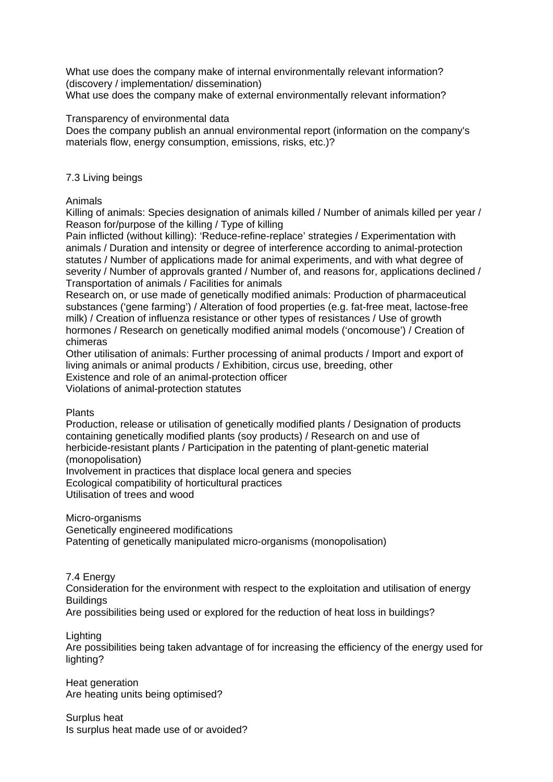What use does the company make of internal environmentally relevant information? (discovery / implementation/ dissemination)

What use does the company make of external environmentally relevant information?

Transparency of environmental data

Does the company publish an annual environmental report (information on the company's materials flow, energy consumption, emissions, risks, etc.)?

## 7.3 Living beings

Animals

Killing of animals: Species designation of animals killed / Number of animals killed per year / Reason for/purpose of the killing / Type of killing

Pain inflicted (without killing): 'Reduce-refine-replace' strategies / Experimentation with animals / Duration and intensity or degree of interference according to animal-protection statutes / Number of applications made for animal experiments, and with what degree of severity / Number of approvals granted / Number of, and reasons for, applications declined / Transportation of animals / Facilities for animals

Research on, or use made of genetically modified animals: Production of pharmaceutical substances ('gene farming') / Alteration of food properties (e.g. fat-free meat, lactose-free milk) / Creation of influenza resistance or other types of resistances / Use of growth hormones / Research on genetically modified animal models ('oncomouse') / Creation of chimeras

Other utilisation of animals: Further processing of animal products / Import and export of living animals or animal products / Exhibition, circus use, breeding, other Existence and role of an animal-protection officer

Violations of animal-protection statutes

Plants

Production, release or utilisation of genetically modified plants / Designation of products containing genetically modified plants (soy products) / Research on and use of herbicide-resistant plants / Participation in the patenting of plant-genetic material (monopolisation)

Involvement in practices that displace local genera and species

Ecological compatibility of horticultural practices

Utilisation of trees and wood

Micro-organisms

Genetically engineered modifications

Patenting of genetically manipulated micro-organisms (monopolisation)

7.4 Energy

Consideration for the environment with respect to the exploitation and utilisation of energy **Buildings** 

Are possibilities being used or explored for the reduction of heat loss in buildings?

**Lighting** 

Are possibilities being taken advantage of for increasing the efficiency of the energy used for lighting?

Heat generation Are heating units being optimised?

Surplus heat Is surplus heat made use of or avoided?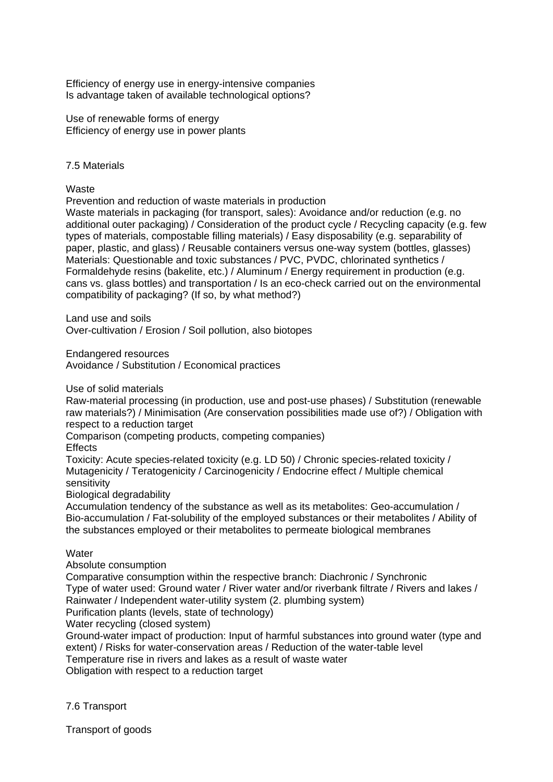Efficiency of energy use in energy-intensive companies Is advantage taken of available technological options?

Use of renewable forms of energy Efficiency of energy use in power plants

### 7.5 Materials

Waste

Prevention and reduction of waste materials in production

Waste materials in packaging (for transport, sales): Avoidance and/or reduction (e.g. no additional outer packaging) / Consideration of the product cycle / Recycling capacity (e.g. few types of materials, compostable filling materials) / Easy disposability (e.g. separability of paper, plastic, and glass) / Reusable containers versus one-way system (bottles, glasses) Materials: Questionable and toxic substances / PVC, PVDC, chlorinated synthetics / Formaldehyde resins (bakelite, etc.) / Aluminum / Energy requirement in production (e.g. cans vs. glass bottles) and transportation / Is an eco-check carried out on the environmental compatibility of packaging? (If so, by what method?)

Land use and soils Over-cultivation / Erosion / Soil pollution, also biotopes

Endangered resources

Avoidance / Substitution / Economical practices

Use of solid materials

Raw-material processing (in production, use and post-use phases) / Substitution (renewable raw materials?) / Minimisation (Are conservation possibilities made use of?) / Obligation with respect to a reduction target

Comparison (competing products, competing companies)

Effects

Toxicity: Acute species-related toxicity (e.g. LD 50) / Chronic species-related toxicity / Mutagenicity / Teratogenicity / Carcinogenicity / Endocrine effect / Multiple chemical sensitivity

Biological degradability

Accumulation tendency of the substance as well as its metabolites: Geo-accumulation / Bio-accumulation / Fat-solubility of the employed substances or their metabolites / Ability of the substances employed or their metabolites to permeate biological membranes

### **Water**

Absolute consumption

Comparative consumption within the respective branch: Diachronic / Synchronic Type of water used: Ground water / River water and/or riverbank filtrate / Rivers and lakes / Rainwater / Independent water-utility system (2. plumbing system)

Purification plants (levels, state of technology)

Water recycling (closed system)

Ground-water impact of production: Input of harmful substances into ground water (type and extent) / Risks for water-conservation areas / Reduction of the water-table level

Temperature rise in rivers and lakes as a result of waste water

Obligation with respect to a reduction target

7.6 Transport

Transport of goods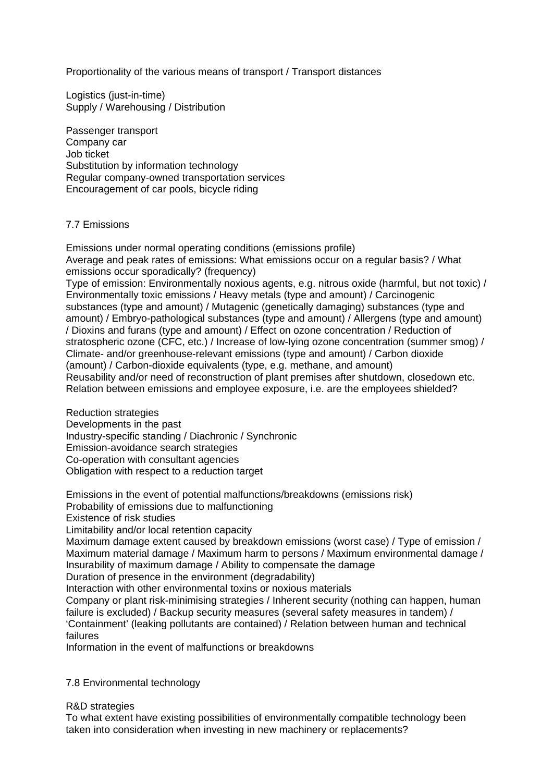Proportionality of the various means of transport / Transport distances

Logistics (just-in-time) Supply / Warehousing / Distribution

Passenger transport Company car Job ticket Substitution by information technology Regular company-owned transportation services Encouragement of car pools, bicycle riding

### 7.7 Emissions

Emissions under normal operating conditions (emissions profile) Average and peak rates of emissions: What emissions occur on a regular basis? / What emissions occur sporadically? (frequency)

Type of emission: Environmentally noxious agents, e.g. nitrous oxide (harmful, but not toxic) / Environmentally toxic emissions / Heavy metals (type and amount) / Carcinogenic substances (type and amount) / Mutagenic (genetically damaging) substances (type and amount) / Embryo-pathological substances (type and amount) / Allergens (type and amount) / Dioxins and furans (type and amount) / Effect on ozone concentration / Reduction of stratospheric ozone (CFC, etc.) / Increase of low-lying ozone concentration (summer smog) / Climate- and/or greenhouse-relevant emissions (type and amount) / Carbon dioxide (amount) / Carbon-dioxide equivalents (type, e.g. methane, and amount) Reusability and/or need of reconstruction of plant premises after shutdown, closedown etc. Relation between emissions and employee exposure, i.e. are the employees shielded?

Reduction strategies Developments in the past Industry-specific standing / Diachronic / Synchronic Emission-avoidance search strategies Co-operation with consultant agencies Obligation with respect to a reduction target

Emissions in the event of potential malfunctions/breakdowns (emissions risk) Probability of emissions due to malfunctioning

Existence of risk studies

Limitability and/or local retention capacity

Maximum damage extent caused by breakdown emissions (worst case) / Type of emission / Maximum material damage / Maximum harm to persons / Maximum environmental damage / Insurability of maximum damage / Ability to compensate the damage

Duration of presence in the environment (degradability)

Interaction with other environmental toxins or noxious materials

Company or plant risk-minimising strategies / Inherent security (nothing can happen, human failure is excluded) / Backup security measures (several safety measures in tandem) / 'Containment' (leaking pollutants are contained) / Relation between human and technical failures

Information in the event of malfunctions or breakdowns

### 7.8 Environmental technology

### R&D strategies

To what extent have existing possibilities of environmentally compatible technology been taken into consideration when investing in new machinery or replacements?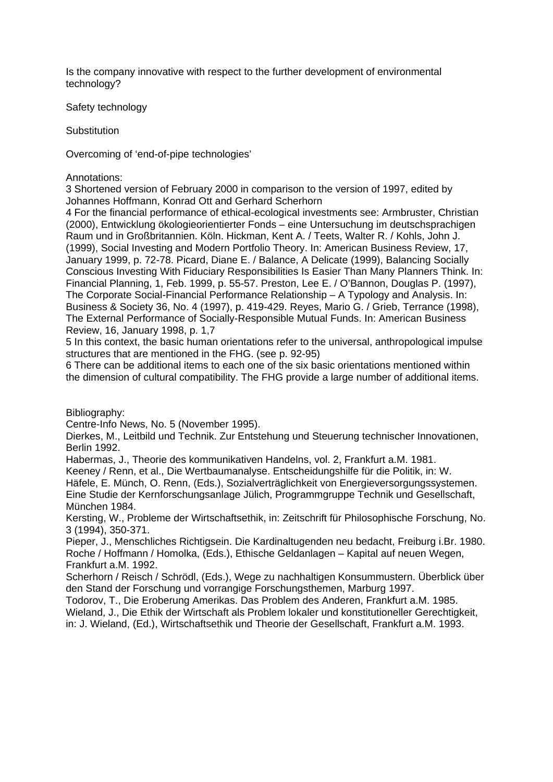Is the company innovative with respect to the further development of environmental technology?

Safety technology

**Substitution** 

Overcoming of 'end-of-pipe technologies'

Annotations:

3 Shortened version of February 2000 in comparison to the version of 1997, edited by Johannes Hoffmann, Konrad Ott and Gerhard Scherhorn

4 For the financial performance of ethical-ecological investments see: Armbruster, Christian (2000), Entwicklung ökologieorientierter Fonds – eine Untersuchung im deutschsprachigen Raum und in Großbritannien. Köln. Hickman, Kent A. / Teets, Walter R. / Kohls, John J. (1999), Social Investing and Modern Portfolio Theory. In: American Business Review, 17, January 1999, p. 72-78. Picard, Diane E. / Balance, A Delicate (1999), Balancing Socially Conscious Investing With Fiduciary Responsibilities Is Easier Than Many Planners Think. In: Financial Planning, 1, Feb. 1999, p. 55-57. Preston, Lee E. / O'Bannon, Douglas P. (1997), The Corporate Social-Financial Performance Relationship – A Typology and Analysis. In: Business & Society 36, No. 4 (1997), p. 419-429. Reyes, Mario G. / Grieb, Terrance (1998), The External Performance of Socially-Responsible Mutual Funds. In: American Business Review, 16, January 1998, p. 1,7

5 In this context, the basic human orientations refer to the universal, anthropological impulse structures that are mentioned in the FHG. (see p. 92-95)

6 There can be additional items to each one of the six basic orientations mentioned within the dimension of cultural compatibility. The FHG provide a large number of additional items.

Bibliography:

Centre-Info News, No. 5 (November 1995).

Dierkes, M., Leitbild und Technik. Zur Entstehung und Steuerung technischer Innovationen, Berlin 1992.

Habermas, J., Theorie des kommunikativen Handelns, vol. 2, Frankfurt a.M. 1981.

Keeney / Renn, et al., Die Wertbaumanalyse. Entscheidungshilfe für die Politik, in: W.

Häfele, E. Münch, O. Renn, (Eds.), Sozialverträglichkeit von Energieversorgungssystemen. Eine Studie der Kernforschungsanlage Jülich, Programmgruppe Technik und Gesellschaft, München 1984.

Kersting, W., Probleme der Wirtschaftsethik, in: Zeitschrift für Philosophische Forschung, No. 3 (1994), 350-371.

Pieper, J., Menschliches Richtigsein. Die Kardinaltugenden neu bedacht, Freiburg i.Br. 1980. Roche / Hoffmann / Homolka, (Eds.), Ethische Geldanlagen – Kapital auf neuen Wegen, Frankfurt a.M. 1992.

Scherhorn / Reisch / Schrödl, (Eds.), Wege zu nachhaltigen Konsummustern. Überblick über den Stand der Forschung und vorrangige Forschungsthemen, Marburg 1997.

Todorov, T., Die Eroberung Amerikas. Das Problem des Anderen, Frankfurt a.M. 1985. Wieland, J., Die Ethik der Wirtschaft als Problem lokaler und konstitutioneller Gerechtigkeit,

in: J. Wieland, (Ed.), Wirtschaftsethik und Theorie der Gesellschaft, Frankfurt a.M. 1993.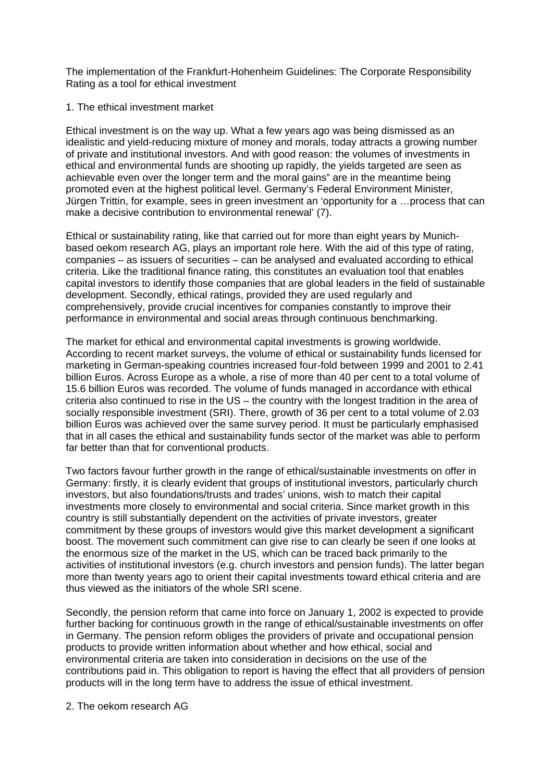The implementation of the Frankfurt-Hohenheim Guidelines: The Corporate Responsibility Rating as a tool for ethical investment

### 1. The ethical investment market

Ethical investment is on the way up. What a few years ago was being dismissed as an idealistic and yield-reducing mixture of money and morals, today attracts a growing number of private and institutional investors. And with good reason: the volumes of investments in ethical and environmental funds are shooting up rapidly, the yields targeted are seen as achievable even over the longer term and the moral gains" are in the meantime being promoted even at the highest political level. Germany's Federal Environment Minister, Jürgen Trittin, for example, sees in green investment an 'opportunity for a …process that can make a decisive contribution to environmental renewal' (7).

Ethical or sustainability rating, like that carried out for more than eight years by Munichbased oekom research AG, plays an important role here. With the aid of this type of rating, companies – as issuers of securities – can be analysed and evaluated according to ethical criteria. Like the traditional finance rating, this constitutes an evaluation tool that enables capital investors to identify those companies that are global leaders in the field of sustainable development. Secondly, ethical ratings, provided they are used regularly and comprehensively, provide crucial incentives for companies constantly to improve their performance in environmental and social areas through continuous benchmarking.

The market for ethical and environmental capital investments is growing worldwide. According to recent market surveys, the volume of ethical or sustainability funds licensed for marketing in German-speaking countries increased four-fold between 1999 and 2001 to 2.41 billion Euros. Across Europe as a whole, a rise of more than 40 per cent to a total volume of 15.6 billion Euros was recorded. The volume of funds managed in accordance with ethical criteria also continued to rise in the US – the country with the longest tradition in the area of socially responsible investment (SRI). There, growth of 36 per cent to a total volume of 2.03 billion Euros was achieved over the same survey period. It must be particularly emphasised that in all cases the ethical and sustainability funds sector of the market was able to perform far better than that for conventional products.

Two factors favour further growth in the range of ethical/sustainable investments on offer in Germany: firstly, it is clearly evident that groups of institutional investors, particularly church investors, but also foundations/trusts and trades' unions, wish to match their capital investments more closely to environmental and social criteria. Since market growth in this country is still substantially dependent on the activities of private investors, greater commitment by these groups of investors would give this market development a significant boost. The movement such commitment can give rise to can clearly be seen if one looks at the enormous size of the market in the US, which can be traced back primarily to the activities of institutional investors (e.g. church investors and pension funds). The latter began more than twenty years ago to orient their capital investments toward ethical criteria and are thus viewed as the initiators of the whole SRI scene.

Secondly, the pension reform that came into force on January 1, 2002 is expected to provide further backing for continuous growth in the range of ethical/sustainable investments on offer in Germany. The pension reform obliges the providers of private and occupational pension products to provide written information about whether and how ethical, social and environmental criteria are taken into consideration in decisions on the use of the contributions paid in. This obligation to report is having the effect that all providers of pension products will in the long term have to address the issue of ethical investment.

2. The oekom research AG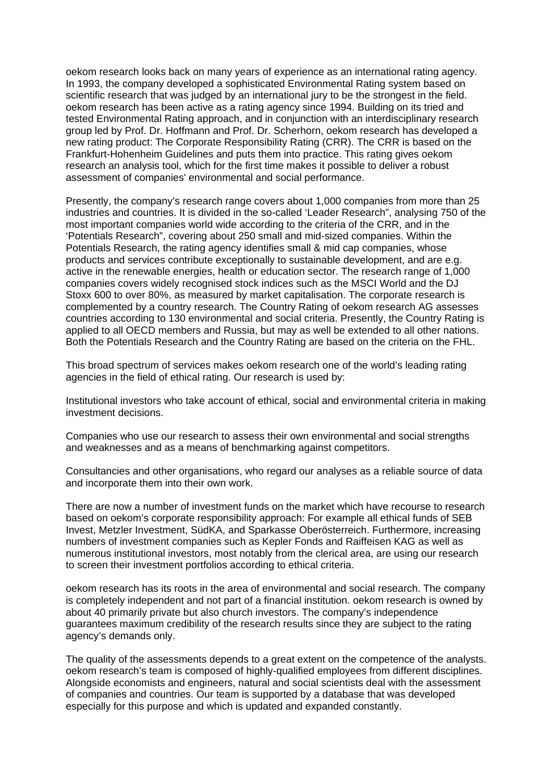oekom research looks back on many years of experience as an international rating agency. In 1993, the company developed a sophisticated Environmental Rating system based on scientific research that was judged by an international jury to be the strongest in the field. oekom research has been active as a rating agency since 1994. Building on its tried and tested Environmental Rating approach, and in conjunction with an interdisciplinary research group led by Prof. Dr. Hoffmann and Prof. Dr. Scherhorn, oekom research has developed a new rating product: The Corporate Responsibility Rating (CRR). The CRR is based on the Frankfurt-Hohenheim Guidelines and puts them into practice. This rating gives oekom research an analysis tool, which for the first time makes it possible to deliver a robust assessment of companies' environmental and social performance.

Presently, the company's research range covers about 1,000 companies from more than 25 industries and countries. It is divided in the so-called 'Leader Research", analysing 750 of the most important companies world wide according to the criteria of the CRR, and in the 'Potentials Research", covering about 250 small and mid-sized companies. Within the Potentials Research, the rating agency identifies small & mid cap companies, whose products and services contribute exceptionally to sustainable development, and are e.g. active in the renewable energies, health or education sector. The research range of 1,000 companies covers widely recognised stock indices such as the MSCI World and the DJ Stoxx 600 to over 80%, as measured by market capitalisation. The corporate research is complemented by a country research. The Country Rating of oekom research AG assesses countries according to 130 environmental and social criteria. Presently, the Country Rating is applied to all OECD members and Russia, but may as well be extended to all other nations. Both the Potentials Research and the Country Rating are based on the criteria on the FHL.

This broad spectrum of services makes oekom research one of the world's leading rating agencies in the field of ethical rating. Our research is used by:

Institutional investors who take account of ethical, social and environmental criteria in making investment decisions.

Companies who use our research to assess their own environmental and social strengths and weaknesses and as a means of benchmarking against competitors.

Consultancies and other organisations, who regard our analyses as a reliable source of data and incorporate them into their own work.

There are now a number of investment funds on the market which have recourse to research based on oekom's corporate responsibility approach: For example all ethical funds of SEB Invest, Metzler Investment, SüdKA, and Sparkasse Oberösterreich. Furthermore, increasing numbers of investment companies such as Kepler Fonds and Raiffeisen KAG as well as numerous institutional investors, most notably from the clerical area, are using our research to screen their investment portfolios according to ethical criteria.

oekom research has its roots in the area of environmental and social research. The company is completely independent and not part of a financial institution. oekom research is owned by about 40 primarily private but also church investors. The company's independence guarantees maximum credibility of the research results since they are subject to the rating agency's demands only.

The quality of the assessments depends to a great extent on the competence of the analysts. oekom research's team is composed of highly-qualified employees from different disciplines. Alongside economists and engineers, natural and social scientists deal with the assessment of companies and countries. Our team is supported by a database that was developed especially for this purpose and which is updated and expanded constantly.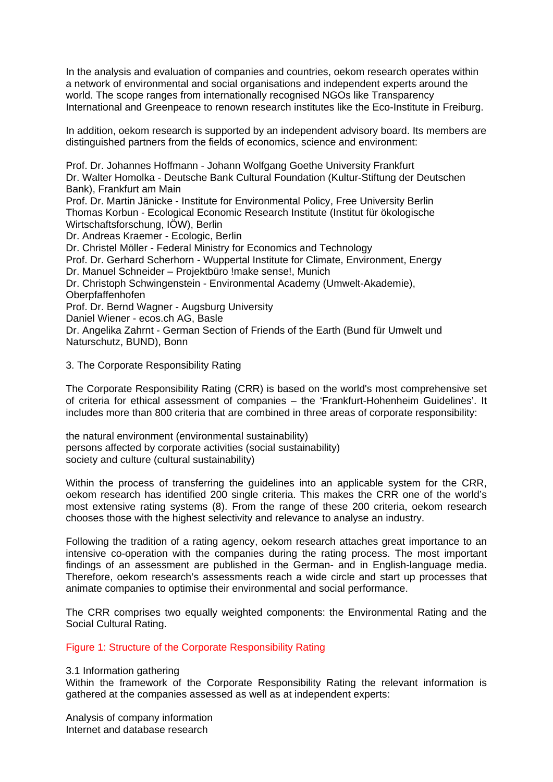In the analysis and evaluation of companies and countries, oekom research operates within a network of environmental and social organisations and independent experts around the world. The scope ranges from internationally recognised NGOs like Transparency International and Greenpeace to renown research institutes like the Eco-Institute in Freiburg.

In addition, oekom research is supported by an independent advisory board. Its members are distinguished partners from the fields of economics, science and environment:

Prof. Dr. Johannes Hoffmann - Johann Wolfgang Goethe University Frankfurt Dr. Walter Homolka - Deutsche Bank Cultural Foundation (Kultur-Stiftung der Deutschen Bank), Frankfurt am Main Prof. Dr. Martin Jänicke - Institute for Environmental Policy, Free University Berlin Thomas Korbun - Ecological Economic Research Institute (Institut für ökologische Wirtschaftsforschung, IÖW), Berlin Dr. Andreas Kraemer - Ecologic, Berlin Dr. Christel Möller - Federal Ministry for Economics and Technology Prof. Dr. Gerhard Scherhorn - Wuppertal Institute for Climate, Environment, Energy Dr. Manuel Schneider – Projektbüro !make sense!, Munich Dr. Christoph Schwingenstein - Environmental Academy (Umwelt-Akademie), Oberpfaffenhofen Prof. Dr. Bernd Wagner - Augsburg University Daniel Wiener - ecos.ch AG, Basle Dr. Angelika Zahrnt - German Section of Friends of the Earth (Bund für Umwelt und Naturschutz, BUND), Bonn

### 3. The Corporate Responsibility Rating

The Corporate Responsibility Rating (CRR) is based on the world's most comprehensive set of criteria for ethical assessment of companies – the 'Frankfurt-Hohenheim Guidelines'. It includes more than 800 criteria that are combined in three areas of corporate responsibility:

the natural environment (environmental sustainability) persons affected by corporate activities (social sustainability) society and culture (cultural sustainability)

Within the process of transferring the guidelines into an applicable system for the CRR, oekom research has identified 200 single criteria. This makes the CRR one of the world's most extensive rating systems (8). From the range of these 200 criteria, oekom research chooses those with the highest selectivity and relevance to analyse an industry.

Following the tradition of a rating agency, oekom research attaches great importance to an intensive co-operation with the companies during the rating process. The most important findings of an assessment are published in the German- and in English-language media. Therefore, oekom research's assessments reach a wide circle and start up processes that animate companies to optimise their environmental and social performance.

The CRR comprises two equally weighted components: the Environmental Rating and the Social Cultural Rating.

### Figure 1: Structure of the Corporate Responsibility Rating

### 3.1 Information gathering

Within the framework of the Corporate Responsibility Rating the relevant information is gathered at the companies assessed as well as at independent experts:

Analysis of company information Internet and database research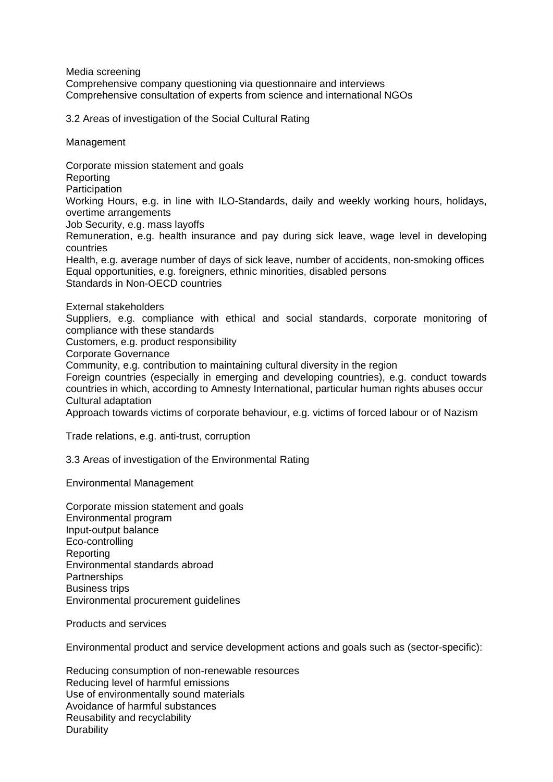Media screening Comprehensive company questioning via questionnaire and interviews Comprehensive consultation of experts from science and international NGOs

3.2 Areas of investigation of the Social Cultural Rating

Management

Corporate mission statement and goals Reporting **Participation** Working Hours, e.g. in line with ILO-Standards, daily and weekly working hours, holidays, overtime arrangements Job Security, e.g. mass layoffs Remuneration, e.g. health insurance and pay during sick leave, wage level in developing countries Health, e.g. average number of days of sick leave, number of accidents, non-smoking offices Equal opportunities, e.g. foreigners, ethnic minorities, disabled persons Standards in Non-OECD countries

External stakeholders

Suppliers, e.g. compliance with ethical and social standards, corporate monitoring of compliance with these standards

Customers, e.g. product responsibility

Corporate Governance

Community, e.g. contribution to maintaining cultural diversity in the region

Foreign countries (especially in emerging and developing countries), e.g. conduct towards countries in which, according to Amnesty International, particular human rights abuses occur Cultural adaptation

Approach towards victims of corporate behaviour, e.g. victims of forced labour or of Nazism

Trade relations, e.g. anti-trust, corruption

3.3 Areas of investigation of the Environmental Rating

Environmental Management

Corporate mission statement and goals Environmental program Input-output balance Eco-controlling **Reporting** Environmental standards abroad **Partnerships** Business trips Environmental procurement guidelines

Products and services

Environmental product and service development actions and goals such as (sector-specific):

Reducing consumption of non-renewable resources Reducing level of harmful emissions Use of environmentally sound materials Avoidance of harmful substances Reusability and recyclability **Durability**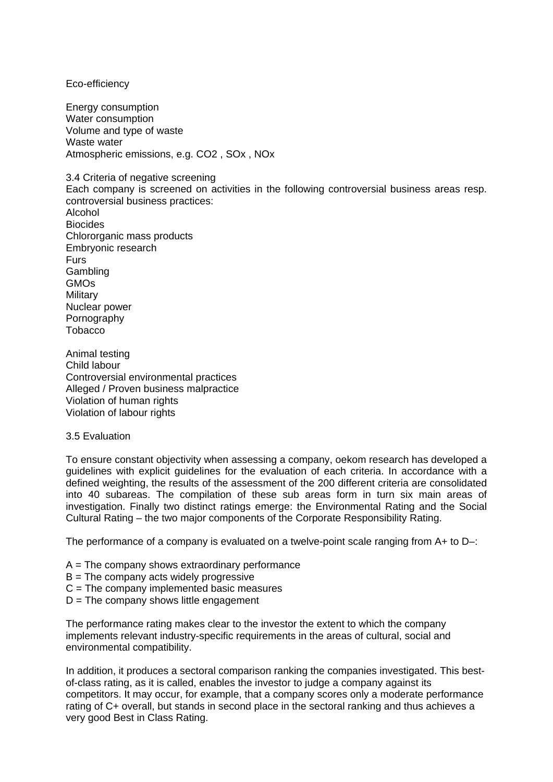Eco-efficiency

Energy consumption Water consumption Volume and type of waste Waste water Atmospheric emissions, e.g. CO2 , SOx , NOx

3.4 Criteria of negative screening

Each company is screened on activities in the following controversial business areas resp. controversial business practices:

Alcohol Biocides Chlororganic mass products Embryonic research **Furs** Gambling **GMOs Military** Nuclear power Pornography **Tobacco** 

Animal testing Child labour Controversial environmental practices Alleged / Proven business malpractice Violation of human rights Violation of labour rights

### 3.5 Evaluation

To ensure constant objectivity when assessing a company, oekom research has developed a guidelines with explicit guidelines for the evaluation of each criteria. In accordance with a defined weighting, the results of the assessment of the 200 different criteria are consolidated into 40 subareas. The compilation of these sub areas form in turn six main areas of investigation. Finally two distinct ratings emerge: the Environmental Rating and the Social Cultural Rating – the two major components of the Corporate Responsibility Rating.

The performance of a company is evaluated on a twelve-point scale ranging from A+ to D-:

- $A =$ The company shows extraordinary performance
- $B =$ The company acts widely progressive
- C = The company implemented basic measures
- $D =$ The company shows little engagement

The performance rating makes clear to the investor the extent to which the company implements relevant industry-specific requirements in the areas of cultural, social and environmental compatibility.

In addition, it produces a sectoral comparison ranking the companies investigated. This bestof-class rating, as it is called, enables the investor to judge a company against its competitors. It may occur, for example, that a company scores only a moderate performance rating of C+ overall, but stands in second place in the sectoral ranking and thus achieves a very good Best in Class Rating.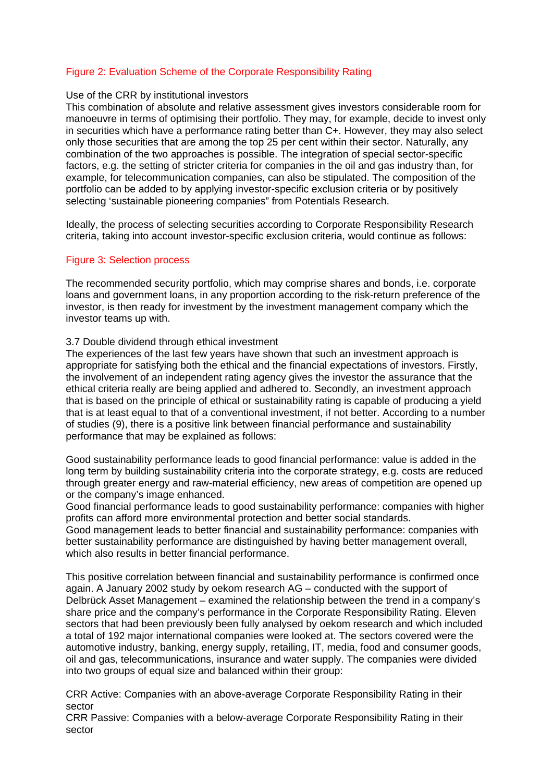## Figure 2: Evaluation Scheme of the Corporate Responsibility Rating

### Use of the CRR by institutional investors

This combination of absolute and relative assessment gives investors considerable room for manoeuvre in terms of optimising their portfolio. They may, for example, decide to invest only in securities which have a performance rating better than C+. However, they may also select only those securities that are among the top 25 per cent within their sector. Naturally, any combination of the two approaches is possible. The integration of special sector-specific factors, e.g. the setting of stricter criteria for companies in the oil and gas industry than, for example, for telecommunication companies, can also be stipulated. The composition of the portfolio can be added to by applying investor-specific exclusion criteria or by positively selecting 'sustainable pioneering companies" from Potentials Research.

Ideally, the process of selecting securities according to Corporate Responsibility Research criteria, taking into account investor-specific exclusion criteria, would continue as follows:

## Figure 3: Selection process

The recommended security portfolio, which may comprise shares and bonds, i.e. corporate loans and government loans, in any proportion according to the risk-return preference of the investor, is then ready for investment by the investment management company which the investor teams up with.

### 3.7 Double dividend through ethical investment

The experiences of the last few years have shown that such an investment approach is appropriate for satisfying both the ethical and the financial expectations of investors. Firstly, the involvement of an independent rating agency gives the investor the assurance that the ethical criteria really are being applied and adhered to. Secondly, an investment approach that is based on the principle of ethical or sustainability rating is capable of producing a yield that is at least equal to that of a conventional investment, if not better. According to a number of studies (9), there is a positive link between financial performance and sustainability performance that may be explained as follows:

Good sustainability performance leads to good financial performance: value is added in the long term by building sustainability criteria into the corporate strategy, e.g. costs are reduced through greater energy and raw-material efficiency, new areas of competition are opened up or the company's image enhanced.

Good financial performance leads to good sustainability performance: companies with higher profits can afford more environmental protection and better social standards.

Good management leads to better financial and sustainability performance: companies with better sustainability performance are distinguished by having better management overall, which also results in better financial performance.

This positive correlation between financial and sustainability performance is confirmed once again. A January 2002 study by oekom research AG – conducted with the support of Delbrück Asset Management – examined the relationship between the trend in a company's share price and the company's performance in the Corporate Responsibility Rating. Eleven sectors that had been previously been fully analysed by oekom research and which included a total of 192 major international companies were looked at. The sectors covered were the automotive industry, banking, energy supply, retailing, IT, media, food and consumer goods, oil and gas, telecommunications, insurance and water supply. The companies were divided into two groups of equal size and balanced within their group:

CRR Active: Companies with an above-average Corporate Responsibility Rating in their sector

CRR Passive: Companies with a below-average Corporate Responsibility Rating in their sector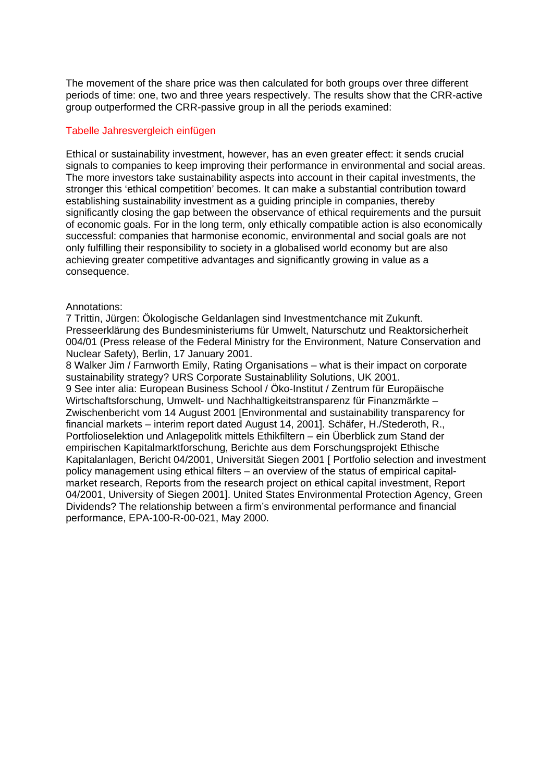The movement of the share price was then calculated for both groups over three different periods of time: one, two and three years respectively. The results show that the CRR-active group outperformed the CRR-passive group in all the periods examined:

### Tabelle Jahresvergleich einfügen

Ethical or sustainability investment, however, has an even greater effect: it sends crucial signals to companies to keep improving their performance in environmental and social areas. The more investors take sustainability aspects into account in their capital investments, the stronger this 'ethical competition' becomes. It can make a substantial contribution toward establishing sustainability investment as a guiding principle in companies, thereby significantly closing the gap between the observance of ethical requirements and the pursuit of economic goals. For in the long term, only ethically compatible action is also economically successful: companies that harmonise economic, environmental and social goals are not only fulfilling their responsibility to society in a globalised world economy but are also achieving greater competitive advantages and significantly growing in value as a consequence.

#### Annotations:

7 Trittin, Jürgen: Ökologische Geldanlagen sind Investmentchance mit Zukunft. Presseerklärung des Bundesministeriums für Umwelt, Naturschutz und Reaktorsicherheit 004/01 (Press release of the Federal Ministry for the Environment, Nature Conservation and Nuclear Safety), Berlin, 17 January 2001.

8 Walker Jim / Farnworth Emily, Rating Organisations – what is their impact on corporate sustainability strategy? URS Corporate Sustainablility Solutions, UK 2001. 9 See inter alia: European Business School / Öko-Institut / Zentrum für Europäische Wirtschaftsforschung, Umwelt- und Nachhaltigkeitstransparenz für Finanzmärkte – Zwischenbericht vom 14 August 2001 [Environmental and sustainability transparency for financial markets – interim report dated August 14, 2001]. Schäfer, H./Stederoth, R., Portfolioselektion und Anlagepolitk mittels Ethikfiltern – ein Überblick zum Stand der empirischen Kapitalmarktforschung, Berichte aus dem Forschungsprojekt Ethische Kapitalanlagen, Bericht 04/2001, Universität Siegen 2001 [ Portfolio selection and investment policy management using ethical filters – an overview of the status of empirical capitalmarket research, Reports from the research project on ethical capital investment, Report 04/2001, University of Siegen 2001]. United States Environmental Protection Agency, Green Dividends? The relationship between a firm's environmental performance and financial performance, EPA-100-R-00-021, May 2000.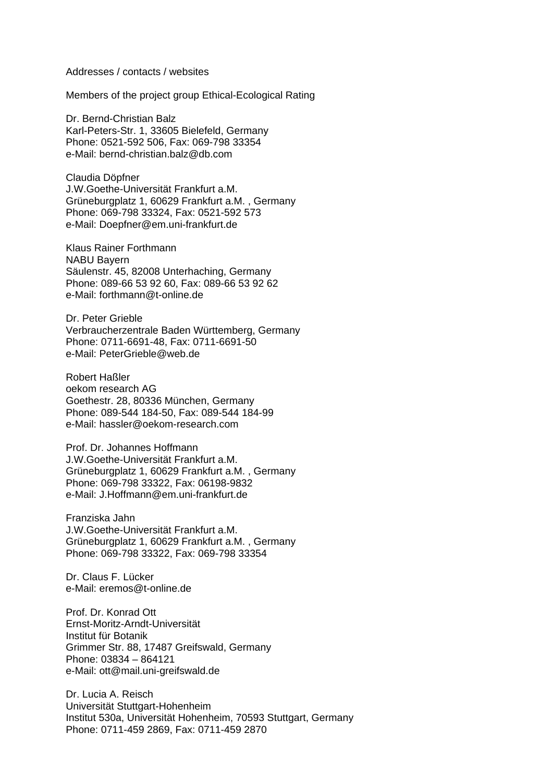#### Addresses / contacts / websites

Members of the project group Ethical-Ecological Rating

Dr. Bernd-Christian Balz Karl-Peters-Str. 1, 33605 Bielefeld, Germany Phone: 0521-592 506, Fax: 069-798 33354 e-Mail: bernd-christian.balz@db.com

Claudia Döpfner J.W.Goethe-Universität Frankfurt a.M. Grüneburgplatz 1, 60629 Frankfurt a.M. , Germany Phone: 069-798 33324, Fax: 0521-592 573 e-Mail: Doepfner@em.uni-frankfurt.de

Klaus Rainer Forthmann NABU Bayern Säulenstr. 45, 82008 Unterhaching, Germany Phone: 089-66 53 92 60, Fax: 089-66 53 92 62 e-Mail: forthmann@t-online.de

Dr. Peter Grieble Verbraucherzentrale Baden Württemberg, Germany Phone: 0711-6691-48, Fax: 0711-6691-50 e-Mail: PeterGrieble@web.de

Robert Haßler oekom research AG Goethestr. 28, 80336 München, Germany Phone: 089-544 184-50, Fax: 089-544 184-99 e-Mail: hassler@oekom-research.com

Prof. Dr. Johannes Hoffmann J.W.Goethe-Universität Frankfurt a.M. Grüneburgplatz 1, 60629 Frankfurt a.M. , Germany Phone: 069-798 33322, Fax: 06198-9832 e-Mail: J.Hoffmann@em.uni-frankfurt.de

Franziska Jahn J.W.Goethe-Universität Frankfurt a.M. Grüneburgplatz 1, 60629 Frankfurt a.M. , Germany Phone: 069-798 33322, Fax: 069-798 33354

Dr. Claus F. Lücker e-Mail: eremos@t-online.de

Prof. Dr. Konrad Ott Ernst-Moritz-Arndt-Universität Institut für Botanik Grimmer Str. 88, 17487 Greifswald, Germany Phone: 03834 – 864121 e-Mail: ott@mail.uni-greifswald.de

Dr. Lucia A. Reisch Universität Stuttgart-Hohenheim Institut 530a, Universität Hohenheim, 70593 Stuttgart, Germany Phone: 0711-459 2869, Fax: 0711-459 2870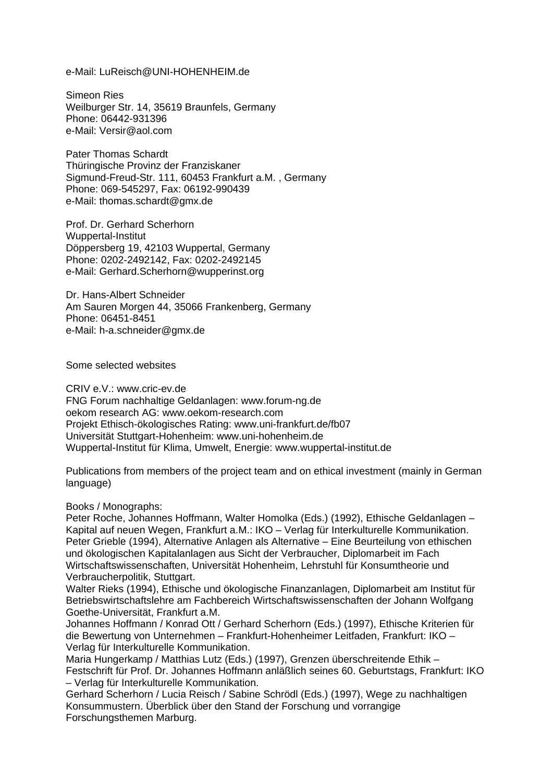e-Mail: LuReisch@UNI-HOHENHEIM.de

Simeon Ries Weilburger Str. 14, 35619 Braunfels, Germany Phone: 06442-931396 e-Mail: [Versir@aol.com](mailto:Versir@aol.com)

Pater Thomas Schardt Thüringische Provinz der Franziskaner Sigmund-Freud-Str. 111, 60453 Frankfurt a.M. , Germany Phone: 069-545297, Fax: 06192-990439 e-Mail: thomas.schardt@gmx.de

Prof. Dr. Gerhard Scherhorn Wuppertal-Institut Döppersberg 19, 42103 Wuppertal, Germany Phone: 0202-2492142, Fax: 0202-2492145 e-Mail: Gerhard.Scherhorn@wupperinst.org

Dr. Hans-Albert Schneider Am Sauren Morgen 44, 35066 Frankenberg, Germany Phone: 06451-8451 e-Mail: h-a.schneider@gmx.de

Some selected websites

CRIV e.V.: www.cric-ev.de FNG Forum nachhaltige Geldanlagen: www.forum-ng.de oekom research AG: www.oekom-research.com Projekt Ethisch-ökologisches Rating: www.uni-frankfurt.de/fb07 Universität Stuttgart-Hohenheim: www.uni-hohenheim.de Wuppertal-Institut für Klima, Umwelt, Energie: www.wuppertal-institut.de

Publications from members of the project team and on ethical investment (mainly in German language)

Books / Monographs:

Peter Roche, Johannes Hoffmann, Walter Homolka (Eds.) (1992), Ethische Geldanlagen – Kapital auf neuen Wegen, Frankfurt a.M.: IKO – Verlag für Interkulturelle Kommunikation. Peter Grieble (1994), Alternative Anlagen als Alternative – Eine Beurteilung von ethischen und ökologischen Kapitalanlagen aus Sicht der Verbraucher, Diplomarbeit im Fach Wirtschaftswissenschaften, Universität Hohenheim, Lehrstuhl für Konsumtheorie und Verbraucherpolitik, Stuttgart.

Walter Rieks (1994), Ethische und ökologische Finanzanlagen, Diplomarbeit am Institut für Betriebswirtschaftslehre am Fachbereich Wirtschaftswissenschaften der Johann Wolfgang Goethe-Universität, Frankfurt a.M.

Johannes Hoffmann / Konrad Ott / Gerhard Scherhorn (Eds.) (1997), Ethische Kriterien für die Bewertung von Unternehmen – Frankfurt-Hohenheimer Leitfaden, Frankfurt: IKO – Verlag für Interkulturelle Kommunikation.

Maria Hungerkamp / Matthias Lutz (Eds.) (1997), Grenzen überschreitende Ethik – Festschrift für Prof. Dr. Johannes Hoffmann anläßlich seines 60. Geburtstags, Frankfurt: IKO – Verlag für Interkulturelle Kommunikation.

Gerhard Scherhorn / Lucia Reisch / Sabine Schrödl (Eds.) (1997), Wege zu nachhaltigen Konsummustern. Überblick über den Stand der Forschung und vorrangige Forschungsthemen Marburg.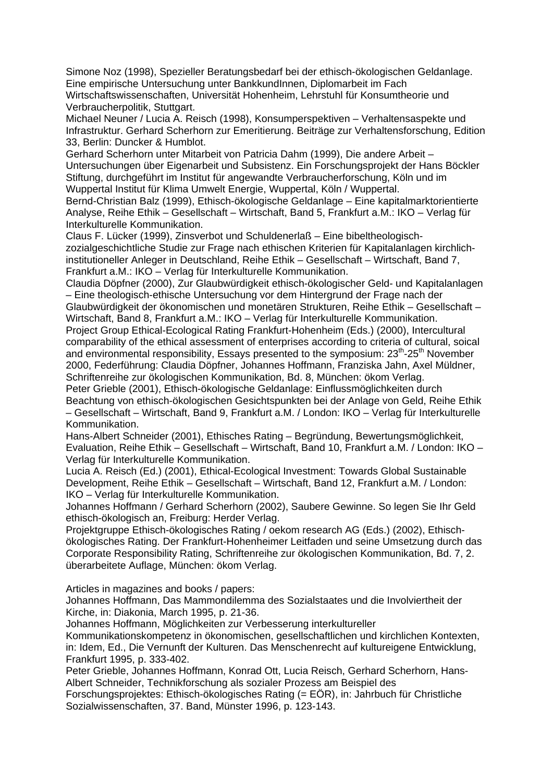Simone Noz (1998), Spezieller Beratungsbedarf bei der ethisch-ökologischen Geldanlage. Eine empirische Untersuchung unter BankkundInnen, Diplomarbeit im Fach Wirtschaftswissenschaften, Universität Hohenheim, Lehrstuhl für Konsumtheorie und Verbraucherpolitik, Stuttgart.

Michael Neuner / Lucia A. Reisch (1998), Konsumperspektiven – Verhaltensaspekte und Infrastruktur. Gerhard Scherhorn zur Emeritierung. Beiträge zur Verhaltensforschung, Edition 33, Berlin: Duncker & Humblot.

Gerhard Scherhorn unter Mitarbeit von Patricia Dahm (1999), Die andere Arbeit – Untersuchungen über Eigenarbeit und Subsistenz. Ein Forschungsprojekt der Hans Böckler Stiftung, durchgeführt im Institut für angewandte Verbraucherforschung, Köln und im Wuppertal Institut für Klima Umwelt Energie, Wuppertal, Köln / Wuppertal.

Bernd-Christian Balz (1999), Ethisch-ökologische Geldanlage – Eine kapitalmarktorientierte Analyse, Reihe Ethik – Gesellschaft – Wirtschaft, Band 5, Frankfurt a.M.: IKO – Verlag für Interkulturelle Kommunikation.

Claus F. Lücker (1999), Zinsverbot und Schuldenerlaß – Eine bibeltheologischzozialgeschichtliche Studie zur Frage nach ethischen Kriterien für Kapitalanlagen kirchlichinstitutioneller Anleger in Deutschland, Reihe Ethik – Gesellschaft – Wirtschaft, Band 7, Frankfurt a.M.: IKO – Verlag für Interkulturelle Kommunikation.

Claudia Döpfner (2000), Zur Glaubwürdigkeit ethisch-ökologischer Geld- und Kapitalanlagen – Eine theologisch-ethische Untersuchung vor dem Hintergrund der Frage nach der Glaubwürdigkeit der ökonomischen und monetären Strukturen, Reihe Ethik – Gesellschaft –

Wirtschaft, Band 8, Frankfurt a.M.: IKO – Verlag für Interkulturelle Kommunikation. Project Group Ethical-Ecological Rating Frankfurt-Hohenheim (Eds.) (2000), Intercultural comparability of the ethical assessment of enterprises according to criteria of cultural, soical

and environmental responsibility, Essays presented to the symposium:  $23<sup>th</sup>$ -25<sup>th</sup> November 2000, Federführung: Claudia Döpfner, Johannes Hoffmann, Franziska Jahn, Axel Müldner, Schriftenreihe zur ökologischen Kommunikation, Bd. 8, München: ökom Verlag.

Peter Grieble (2001), Ethisch-ökologische Geldanlage: Einflussmöglichkeiten durch Beachtung von ethisch-ökologischen Gesichtspunkten bei der Anlage von Geld, Reihe Ethik – Gesellschaft – Wirtschaft, Band 9, Frankfurt a.M. / London: IKO – Verlag für Interkulturelle Kommunikation.

Hans-Albert Schneider (2001), Ethisches Rating – Begründung, Bewertungsmöglichkeit, Evaluation, Reihe Ethik – Gesellschaft – Wirtschaft, Band 10, Frankfurt a.M. / London: IKO – Verlag für Interkulturelle Kommunikation.

Lucia A. Reisch (Ed.) (2001), Ethical-Ecological Investment: Towards Global Sustainable Development, Reihe Ethik – Gesellschaft – Wirtschaft, Band 12, Frankfurt a.M. / London: IKO – Verlag für Interkulturelle Kommunikation.

Johannes Hoffmann / Gerhard Scherhorn (2002), Saubere Gewinne. So legen Sie Ihr Geld ethisch-ökologisch an, Freiburg: Herder Verlag.

Projektgruppe Ethisch-ökologisches Rating / oekom research AG (Eds.) (2002), Ethischökologisches Rating. Der Frankfurt-Hohenheimer Leitfaden und seine Umsetzung durch das Corporate Responsibility Rating, Schriftenreihe zur ökologischen Kommunikation, Bd. 7, 2. überarbeitete Auflage, München: ökom Verlag.

Articles in magazines and books / papers:

Johannes Hoffmann, Das Mammondilemma des Sozialstaates und die Involviertheit der Kirche, in: Diakonia, March 1995, p. 21-36.

Johannes Hoffmann, Möglichkeiten zur Verbesserung interkultureller

Kommunikationskompetenz in ökonomischen, gesellschaftlichen und kirchlichen Kontexten, in: Idem, Ed., Die Vernunft der Kulturen. Das Menschenrecht auf kultureigene Entwicklung, Frankfurt 1995, p. 333-402.

Peter Grieble, Johannes Hoffmann, Konrad Ott, Lucia Reisch, Gerhard Scherhorn, Hans-Albert Schneider, Technikforschung als sozialer Prozess am Beispiel des

Forschungsprojektes: Ethisch-ökologisches Rating (= EÖR), in: Jahrbuch für Christliche Sozialwissenschaften, 37. Band, Münster 1996, p. 123-143.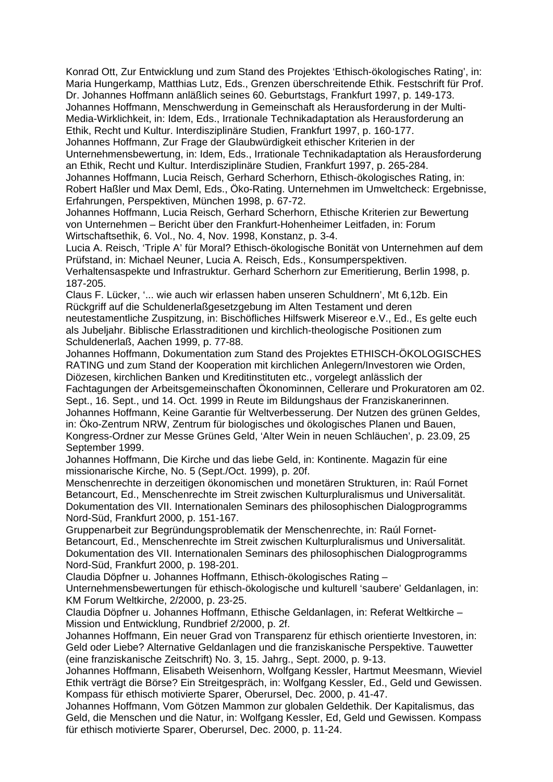Konrad Ott, Zur Entwicklung und zum Stand des Projektes 'Ethisch-ökologisches Rating', in: Maria Hungerkamp, Matthias Lutz, Eds., Grenzen überschreitende Ethik. Festschrift für Prof. Dr. Johannes Hoffmann anläßlich seines 60. Geburtstags, Frankfurt 1997, p. 149-173. Johannes Hoffmann, Menschwerdung in Gemeinschaft als Herausforderung in der Multi-Media-Wirklichkeit, in: Idem, Eds., Irrationale Technikadaptation als Herausforderung an Ethik, Recht und Kultur. Interdisziplinäre Studien, Frankfurt 1997, p. 160-177.

Johannes Hoffmann, Zur Frage der Glaubwürdigkeit ethischer Kriterien in der

Unternehmensbewertung, in: Idem, Eds., Irrationale Technikadaptation als Herausforderung an Ethik, Recht und Kultur. Interdisziplinäre Studien, Frankfurt 1997, p. 265-284.

Johannes Hoffmann, Lucia Reisch, Gerhard Scherhorn, Ethisch-ökologisches Rating, in: Robert Haßler und Max Deml, Eds., Öko-Rating. Unternehmen im Umweltcheck: Ergebnisse, Erfahrungen, Perspektiven, München 1998, p. 67-72.

Johannes Hoffmann, Lucia Reisch, Gerhard Scherhorn, Ethische Kriterien zur Bewertung von Unternehmen – Bericht über den Frankfurt-Hohenheimer Leitfaden, in: Forum Wirtschaftsethik, 6. Vol., No. 4, Nov. 1998, Konstanz, p. 3-4.

Lucia A. Reisch, 'Triple A' für Moral? Ethisch-ökologische Bonität von Unternehmen auf dem Prüfstand, in: Michael Neuner, Lucia A. Reisch, Eds., Konsumperspektiven. Verhaltensaspekte und Infrastruktur. Gerhard Scherhorn zur Emeritierung, Berlin 1998, p.

187-205. Claus F. Lücker, '... wie auch wir erlassen haben unseren Schuldnern', Mt 6,12b. Ein Rückgriff auf die Schuldenerlaßgesetzgebung im Alten Testament und deren neutestamentliche Zuspitzung, in: Bischöfliches Hilfswerk Misereor e.V., Ed., Es gelte euch als Jubeljahr. Biblische Erlasstraditionen und kirchlich-theologische Positionen zum

Schuldenerlaß, Aachen 1999, p. 77-88. Johannes Hoffmann, Dokumentation zum Stand des Projektes ETHISCH-ÖKOLOGISCHES RATING und zum Stand der Kooperation mit kirchlichen Anlegern/Investoren wie Orden,

Diözesen, kirchlichen Banken und Kreditinstituten etc., vorgelegt anlässlich der Fachtagungen der Arbeitsgemeinschaften Ökonominnen, Cellerare und Prokuratoren am 02.

Sept., 16. Sept., und 14. Oct. 1999 in Reute im Bildungshaus der Franziskanerinnen.

Johannes Hoffmann, Keine Garantie für Weltverbesserung. Der Nutzen des grünen Geldes, in: Öko-Zentrum NRW, Zentrum für biologisches und ökologisches Planen und Bauen, Kongress-Ordner zur Messe Grünes Geld, 'Alter Wein in neuen Schläuchen', p. 23.09, 25 September 1999.

Johannes Hoffmann, Die Kirche und das liebe Geld, in: Kontinente. Magazin für eine missionarische Kirche, No. 5 (Sept./Oct. 1999), p. 20f.

Menschenrechte in derzeitigen ökonomischen und monetären Strukturen, in: Raúl Fornet Betancourt, Ed., Menschenrechte im Streit zwischen Kulturpluralismus und Universalität. Dokumentation des VII. Internationalen Seminars des philosophischen Dialogprogramms Nord-Süd, Frankfurt 2000, p. 151-167.

Gruppenarbeit zur Begründungsproblematik der Menschenrechte, in: Raúl Fornet-Betancourt, Ed., Menschenrechte im Streit zwischen Kulturpluralismus und Universalität. Dokumentation des VII. Internationalen Seminars des philosophischen Dialogprogramms Nord-Süd, Frankfurt 2000, p. 198-201.

Claudia Döpfner u. Johannes Hoffmann, Ethisch-ökologisches Rating –

Unternehmensbewertungen für ethisch-ökologische und kulturell 'saubere' Geldanlagen, in: KM Forum Weltkirche, 2/2000, p. 23-25.

Claudia Döpfner u. Johannes Hoffmann, Ethische Geldanlagen, in: Referat Weltkirche – Mission und Entwicklung, Rundbrief 2/2000, p. 2f.

Johannes Hoffmann, Ein neuer Grad von Transparenz für ethisch orientierte Investoren, in: Geld oder Liebe? Alternative Geldanlagen und die franziskanische Perspektive. Tauwetter (eine franziskanische Zeitschrift) No. 3, 15. Jahrg., Sept. 2000, p. 9-13.

Johannes Hoffmann, Elisabeth Weisenhorn, Wolfgang Kessler, Hartmut Meesmann, Wieviel Ethik verträgt die Börse? Ein Streitgespräch, in: Wolfgang Kessler, Ed., Geld und Gewissen. Kompass für ethisch motivierte Sparer, Oberursel, Dec. 2000, p. 41-47.

Johannes Hoffmann, Vom Götzen Mammon zur globalen Geldethik. Der Kapitalismus, das Geld, die Menschen und die Natur, in: Wolfgang Kessler, Ed, Geld und Gewissen. Kompass für ethisch motivierte Sparer, Oberursel, Dec. 2000, p. 11-24.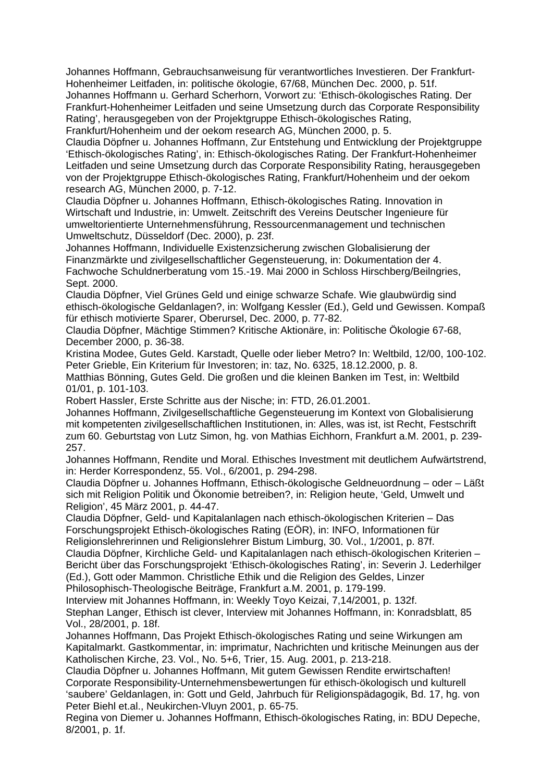Johannes Hoffmann, Gebrauchsanweisung für verantwortliches Investieren. Der Frankfurt-Hohenheimer Leitfaden, in: politische ökologie, 67/68, München Dec. 2000, p. 51f.

Johannes Hoffmann u. Gerhard Scherhorn, Vorwort zu: 'Ethisch-ökologisches Rating. Der Frankfurt-Hohenheimer Leitfaden und seine Umsetzung durch das Corporate Responsibility Rating', herausgegeben von der Projektgruppe Ethisch-ökologisches Rating,

Frankfurt/Hohenheim und der oekom research AG, München 2000, p. 5.

Claudia Döpfner u. Johannes Hoffmann, Zur Entstehung und Entwicklung der Projektgruppe 'Ethisch-ökologisches Rating', in: Ethisch-ökologisches Rating. Der Frankfurt-Hohenheimer Leitfaden und seine Umsetzung durch das Corporate Responsibility Rating, herausgegeben von der Projektgruppe Ethisch-ökologisches Rating, Frankfurt/Hohenheim und der oekom research AG, München 2000, p. 7-12.

Claudia Döpfner u. Johannes Hoffmann, Ethisch-ökologisches Rating. Innovation in Wirtschaft und Industrie, in: Umwelt. Zeitschrift des Vereins Deutscher Ingenieure für umweltorientierte Unternehmensführung, Ressourcenmanagement und technischen Umweltschutz, Düsseldorf (Dec. 2000), p. 23f.

Johannes Hoffmann, Individuelle Existenzsicherung zwischen Globalisierung der Finanzmärkte und zivilgesellschaftlicher Gegensteuerung, in: Dokumentation der 4. Fachwoche Schuldnerberatung vom 15.-19. Mai 2000 in Schloss Hirschberg/Beilngries, Sept. 2000.

Claudia Döpfner, Viel Grünes Geld und einige schwarze Schafe. Wie glaubwürdig sind ethisch-ökologische Geldanlagen?, in: Wolfgang Kessler (Ed.), Geld und Gewissen. Kompaß für ethisch motivierte Sparer, Oberursel, Dec. 2000, p. 77-82.

Claudia Döpfner, Mächtige Stimmen? Kritische Aktionäre, in: Politische Ökologie 67-68, December 2000, p. 36-38.

Kristina Modee, Gutes Geld. Karstadt, Quelle oder lieber Metro? In: Weltbild, 12/00, 100-102. Peter Grieble, Ein Kriterium für Investoren; in: taz, No. 6325, 18.12.2000, p. 8.

Matthias Bönning, Gutes Geld. Die großen und die kleinen Banken im Test, in: Weltbild 01/01, p. 101-103.

Robert Hassler, Erste Schritte aus der Nische; in: FTD, 26.01.2001.

Johannes Hoffmann, Zivilgesellschaftliche Gegensteuerung im Kontext von Globalisierung mit kompetenten zivilgesellschaftlichen Institutionen, in: Alles, was ist, ist Recht, Festschrift zum 60. Geburtstag von Lutz Simon, hg. von Mathias Eichhorn, Frankfurt a.M. 2001, p. 239- 257.

Johannes Hoffmann, Rendite und Moral. Ethisches Investment mit deutlichem Aufwärtstrend, in: Herder Korrespondenz, 55. Vol., 6/2001, p. 294-298.

Claudia Döpfner u. Johannes Hoffmann, Ethisch-ökologische Geldneuordnung – oder – Läßt sich mit Religion Politik und Ökonomie betreiben?, in: Religion heute, 'Geld, Umwelt und Religion', 45 März 2001, p. 44-47.

Claudia Döpfner, Geld- und Kapitalanlagen nach ethisch-ökologischen Kriterien – Das Forschungsprojekt Ethisch-ökologisches Rating (EÖR), in: INFO, Informationen für Religionslehrerinnen und Religionslehrer Bistum Limburg, 30. Vol., 1/2001, p. 87f.

Claudia Döpfner, Kirchliche Geld- und Kapitalanlagen nach ethisch-ökologischen Kriterien – Bericht über das Forschungsprojekt 'Ethisch-ökologisches Rating', in: Severin J. Lederhilger (Ed.), Gott oder Mammon. Christliche Ethik und die Religion des Geldes, Linzer Philosophisch-Theologische Beiträge, Frankfurt a.M. 2001, p. 179-199.

Interview mit Johannes Hoffmann, in: Weekly Toyo Keizai, 7,14/2001, p. 132f. Stephan Langer, Ethisch ist clever, Interview mit Johannes Hoffmann, in: Konradsblatt, 85 Vol., 28/2001, p. 18f.

Johannes Hoffmann, Das Projekt Ethisch-ökologisches Rating und seine Wirkungen am Kapitalmarkt. Gastkommentar, in: imprimatur, Nachrichten und kritische Meinungen aus der Katholischen Kirche, 23. Vol., No. 5+6, Trier, 15. Aug. 2001, p. 213-218.

Claudia Döpfner u. Johannes Hoffmann, Mit gutem Gewissen Rendite erwirtschaften! Corporate Responsibility-Unternehmensbewertungen für ethisch-ökologisch und kulturell 'saubere' Geldanlagen, in: Gott und Geld, Jahrbuch für Religionspädagogik, Bd. 17, hg. von Peter Biehl et.al., Neukirchen-Vluyn 2001, p. 65-75.

Regina von Diemer u. Johannes Hoffmann, Ethisch-ökologisches Rating, in: BDU Depeche, 8/2001, p. 1f.